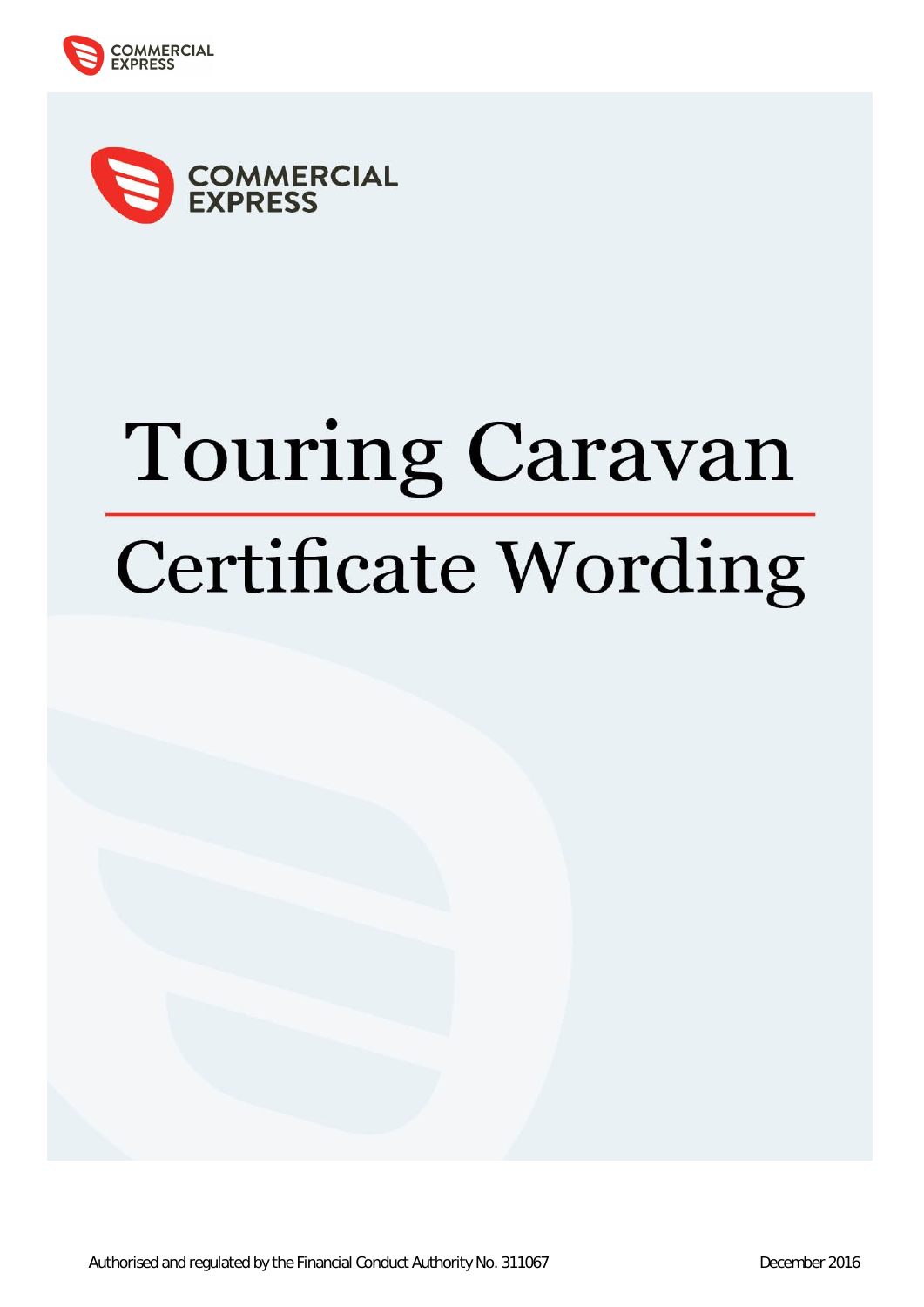



# Touring Caravan **Certificate Wording**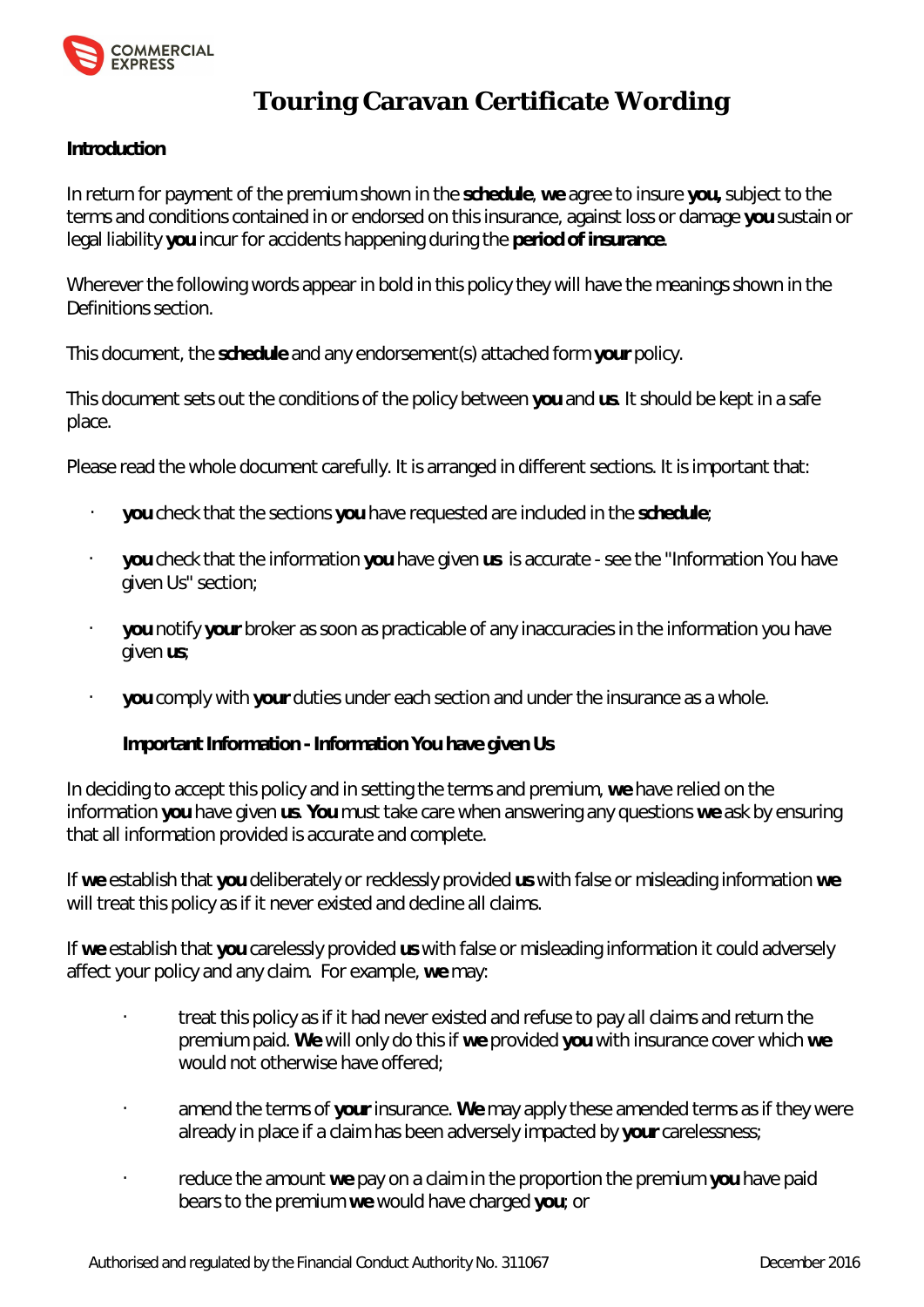

# **Touring Caravan Certificate Wording**

# **Introduction**

In return for payment of the premium shown in the **schedule**, **we** agree to insure **you,** subject to the terms and conditions contained in or endorsed on this insurance, against loss or damage **you** sustain or legal liability **you** incur for accidents happening during the **period of insurance**.

Wherever the following words appear in bold in this policy they will have the meanings shown in the Definitions section.

This document, the **schedule** and any endorsement(s) attached form **your** policy.

This document sets out the conditions of the policy between **you** and **us**. It should be kept in a safe place.

Please read the whole document carefully. It is arranged in different sections. It is important that:

- **you** check that the sections **you** have requested are included in the **schedule**;
- **you** check that the information **you** have given **us** is accurate see the "Information You have given Us" section;
- **you** notify **your** broker as soon as practicable of any inaccuracies in the information you have given **us**;
- **you** comply with **your** duties under each section and under the insurance as a whole.

**Important Information - Information You have given Us** 

In deciding to accept this policy and in setting the terms and premium, **we** have relied on the information **you** have given **us**. **You** must take care when answering any questions **we** ask by ensuring that all information provided is accurate and complete.

If **we** establish that **you** deliberately or recklessly provided **us** with false or misleading information **we** will treat this policy as if it never existed and decline all claims.

If **we** establish that **you** carelessly provided **us** with false or misleading information it could adversely affect your policy and any claim. For example, **we** may:

- treat this policy as if it had never existed and refuse to pay all claims and return the premium paid. **We** will only do this if **we** provided **you** with insurance cover which **we** would not otherwise have offered;
- amend the terms of **your** insurance. **We** may apply these amended terms as if they were already in place if a claim has been adversely impacted by **your** carelessness;
- reduce the amount **we** pay on a claim in the proportion the premium **you** have paid bears to the premium **we** would have charged **you**; or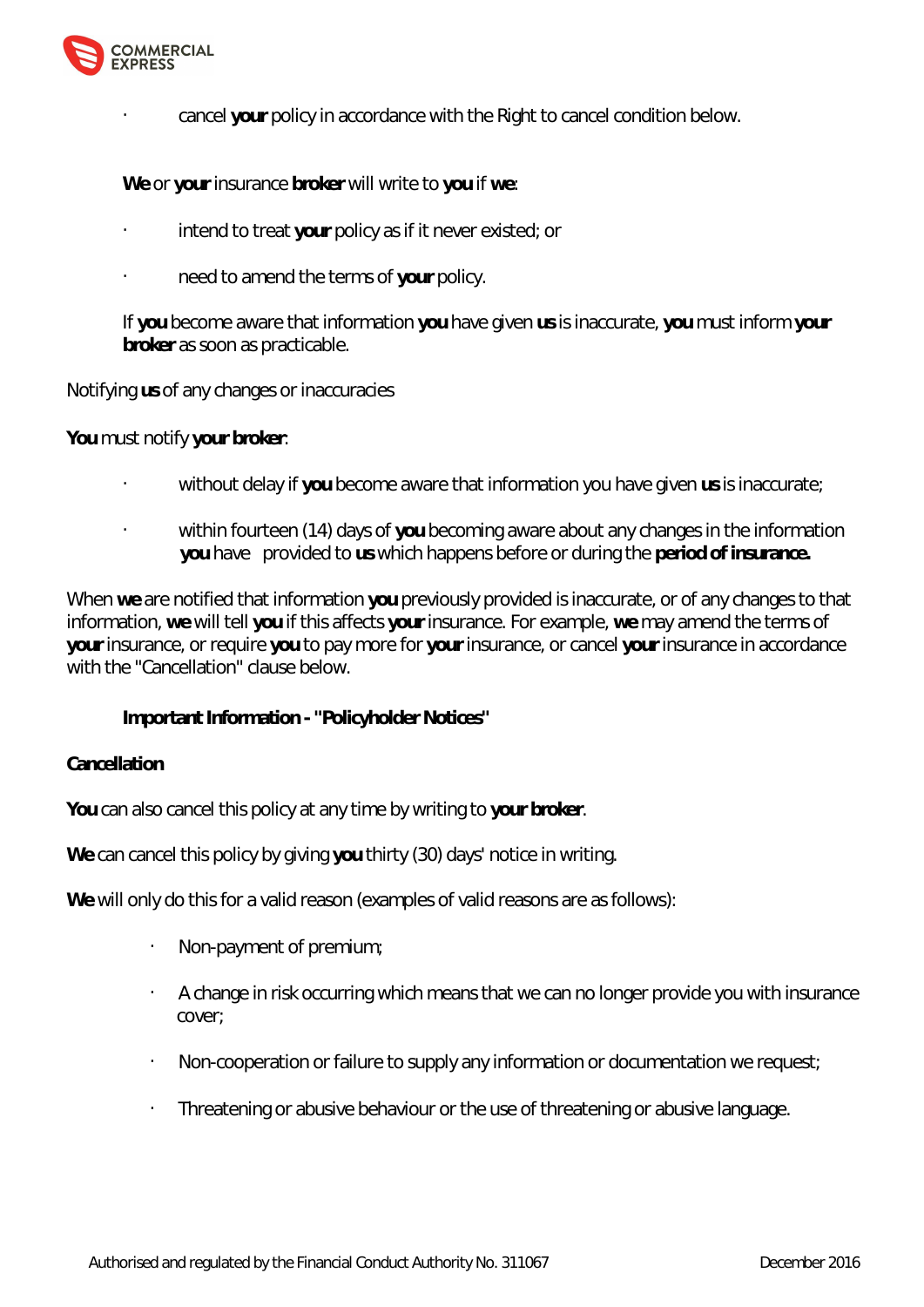

• cancel **your** policy in accordance with the Right to cancel condition below.

**We** or **your** insurance **broker** will write to **you** if **we**:

- intend to treat **your** policy as if it never existed; or
- need to amend the terms of **your** policy.

If **you** become aware that information **you** have given **us** is inaccurate, **you** must inform **your broker** as soon as practicable.

Notifying **us** of any changes or inaccuracies

**You** must notify **your broker**:

- without delay if **you** become aware that information you have given **us** is inaccurate;
- within fourteen (14) days of **you** becoming aware about any changes in the information **you** have provided to **us** which happens before or during the **period of insurance.**

When **we** are notified that information **you** previously provided is inaccurate, or of any changes to that information, **we** will tell **you** if this affects **your** insurance. For example, **we** may amend the terms of **your** insurance, or require **you** to pay more for **your** insurance, or cancel **your** insurance in accordance with the "Cancellation" clause below.

**Important Information - "Policyholder Notices"** 

# **Cancellation**

**You** can also cancel this policy at any time by writing to **your broker**.

**We** can cancel this policy by giving **you** thirty (30) days' notice in writing.

**We** will only do this for a valid reason (examples of valid reasons are as follows):

- Non-payment of premium;
- A change in risk occurring which means that we can no longer provide you with insurance cover;
- Non-cooperation or failure to supply any information or documentation we request;
- Threatening or abusive behaviour or the use of threatening or abusive language.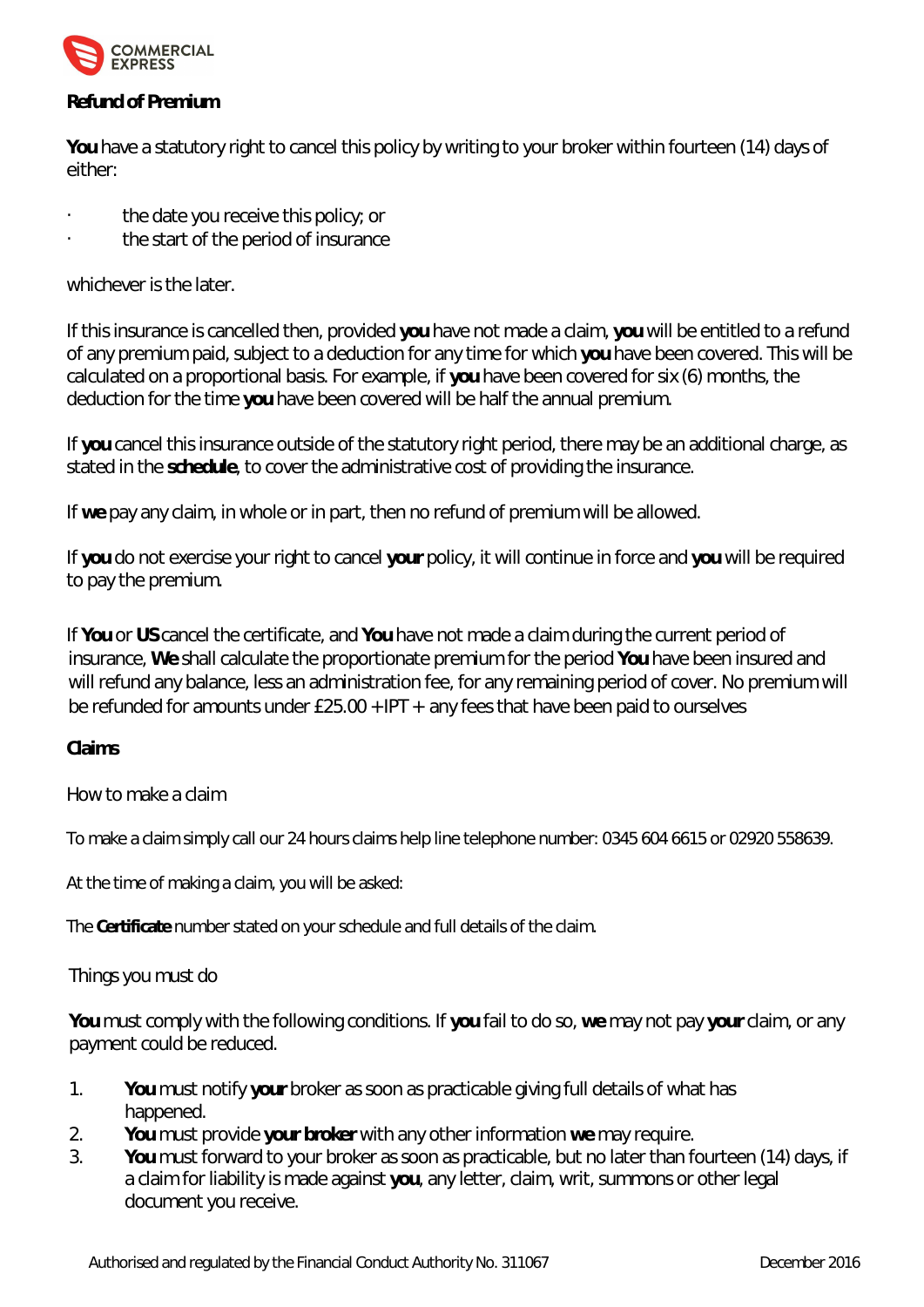

# **Refund of Premium**

**You** have a statutory right to cancel this policy by writing to your broker within fourteen (14) days of either:

- the date you receive this policy; or
- the start of the period of insurance

whichever is the later.

If this insurance is cancelled then, provided **you** have not made a claim, **you** will be entitled to a refund of any premium paid, subject to a deduction for any time for which **you** have been covered. This will be calculated on a proportional basis. For example, if **you** have been covered for six (6) months, the deduction for the time **you** have been covered will be half the annual premium.

If **you** cancel this insurance outside of the statutory right period, there may be an additional charge, as stated in the **schedule**, to cover the administrative cost of providing the insurance.

If **we** pay any claim, in whole or in part, then no refund of premium will be allowed.

If **you** do not exercise your right to cancel **your** policy, it will continue in force and **you** will be required to pay the premium.

If **You** or **US** cancel the certificate, and **You** have not made a claim during the current period of insurance, **We** shall calculate the proportionate premium for the period **You** have been insured and will refund any balance, less an administration fee, for any remaining period of cover. No premium will be refunded for amounts under £25.00 + IPT + any fees that have been paid to ourselves

**Claims**

How to make a claim

To make a claim simply call our 24 hours claims help line telephone number: 0345 604 6615 or 02920 558639.

At the time of making a claim, you will be asked:

The **Certificate** number stated on your schedule and full details of the claim.

# Things you must do

**You** must comply with the following conditions. If **you** fail to do so, **we** may not pay **your** claim, or any payment could be reduced.

- 1. **You** must notify **your** broker as soon as practicable giving full details of what has happened.
- 2. **You** must provide **your broker** with any other information **we** may require.
- 3. **You** must forward to your broker as soon as practicable, but no later than fourteen (14) days, if a claim for liability is made against **you**, any letter, claim, writ, summons or other legal document you receive.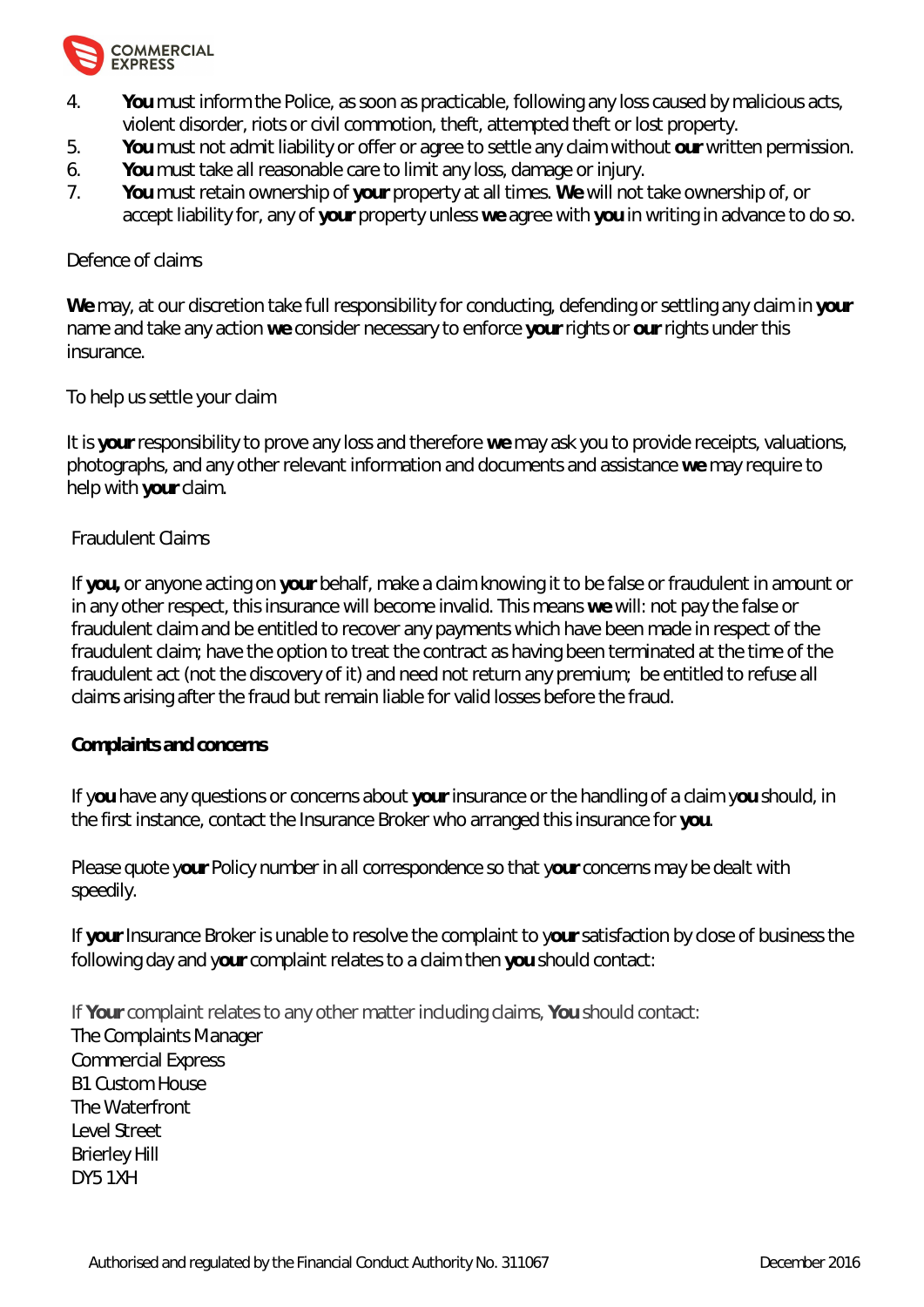

- 4. **You** must inform the Police, as soon as practicable, following any loss caused by malicious acts, violent disorder, riots or civil commotion, theft, attempted theft or lost property.
- 5. **You** must not admit liability or offer or agree to settle any claim without **our** written permission.
- 6. **You** must take all reasonable care to limit any loss, damage or injury.
- 7. **You** must retain ownership of **your** property at all times. **We** will not take ownership of, or accept liability for, any of **your** property unless **we** agree with **you** in writing in advance to do so.

# Defence of claims

**We** may, at our discretion take full responsibility for conducting, defending or settling any claim in **your** name and take any action **we** consider necessary to enforce **your** rights or **our** rights under this insurance.

# To help us settle your claim

It is **your** responsibility to prove any loss and therefore **we** may ask you to provide receipts, valuations, photographs, and any other relevant information and documents and assistance **we** may require to help with **your** claim.

# Fraudulent Claims

If **you,** or anyone acting on **your** behalf, make a claim knowing it to be false or fraudulent in amount or in any other respect, this insurance will become invalid. This means **we** will: not pay the false or fraudulent claim and be entitled to recover any payments which have been made in respect of the fraudulent claim; have the option to treat the contract as having been terminated at the time of the fraudulent act (not the discovery of it) and need not return any premium; be entitled to refuse all claims arising after the fraud but remain liable for valid losses before the fraud.

# **Complaints and concerns**

If y**ou** have any questions or concerns about **your** insurance or the handling of a claim y**ou** should, in the first instance, contact the Insurance Broker who arranged this insurance for **you**.

# *Please quote your Policy number in all correspondence so that your concerns may be dealt with speedily.*

If **your** Insurance Broker is unable to resolve the complaint to y**our** satisfaction by close of business the following day and y**our** complaint relates to a claim then **you** should contact:

If **Your** complaint relates to any other matter including claims, **You** should contact: The Complaints Manager Commercial Express B1 Custom House The Waterfront Level Street Brierley Hill DY5 1XH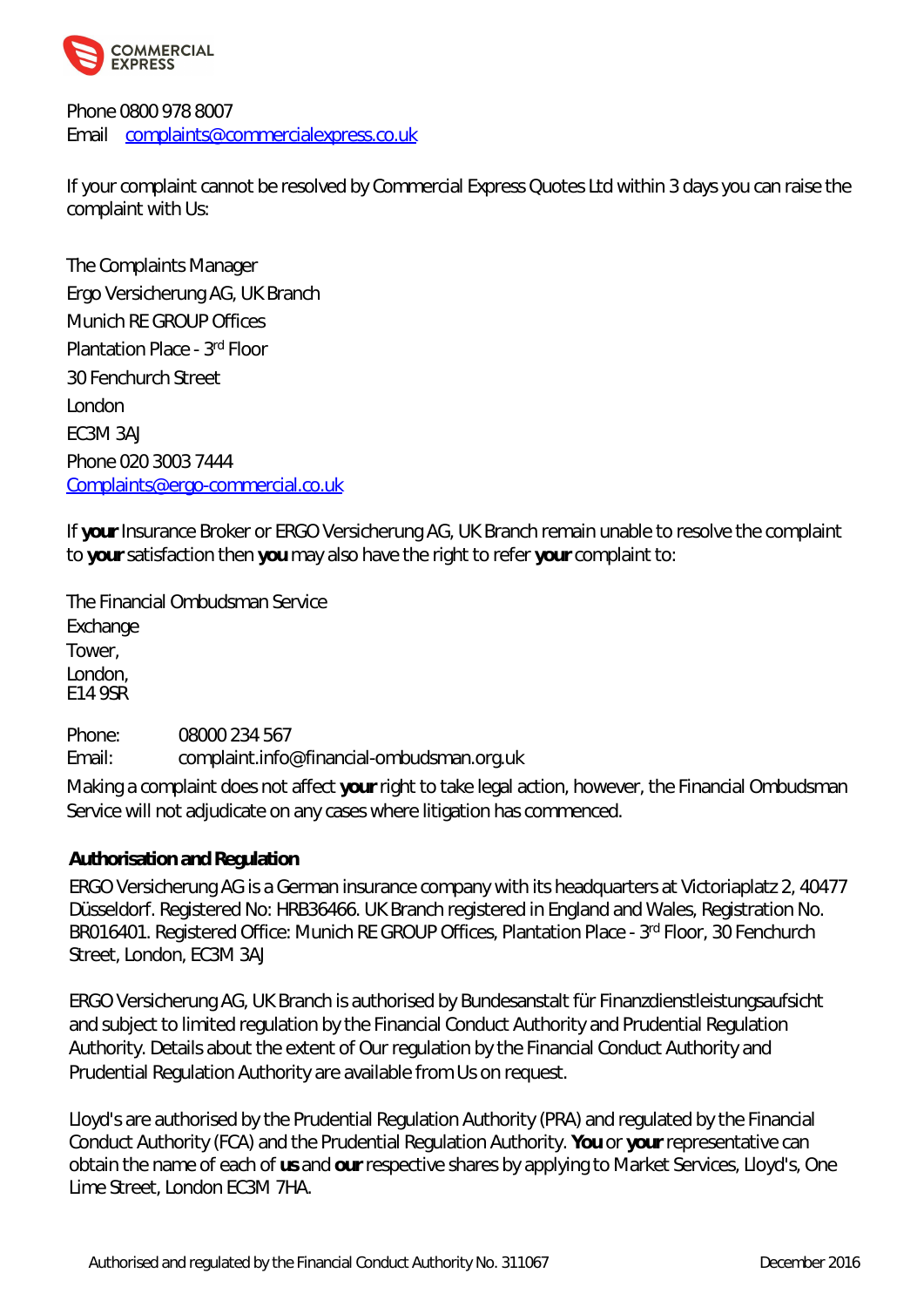

Phone 0800 978 8007 Email [complaints@commercialexpress.co.uk](mailto:complaints@commercialexpress.co.uk)

If your complaint cannot be resolved by Commercial Express Quotes Ltd within 3 days you can raise the complaint with Us:

The Complaints Manager Ergo Versicherung AG, UK Branch Munich RE GROUP Offices Plantation Place - 3rd Floor 30 Fenchurch Street London EC3M 3AJ Phone 020 3003 7444 [Complaints@ergo-commercial.co.uk](mailto:Complaints@ergo-commercial.co.uk)

If **your** Insurance Broker or ERGO Versicherung AG, UK Branch remain unable to resolve the complaint to **your** satisfaction then **you** may also have the right to refer **your** complaint to:

The Financial Ombudsman Service Exchange Tower, London, E14 9SR

Phone: 08000 234 567 Email: [complaint.info@financial-ombudsman.org.uk](mailto:complaint.info@financial-ombudsman.org.uk)

Making a complaint does not affect **your** right to take legal action, however, the Financial Ombudsman Service will not adjudicate on any cases where litigation has commenced.

**Authorisation and Regulation**

ERGO Versicherung AG is a German insurance company with its headquarters at Victoriaplatz 2, 40477 Düsseldorf. Registered No: HRB36466. UK Branch registered in England and Wales, Registration No. BR016401. Registered Office: Munich RE GROUP Offices, Plantation Place - 3rd Floor, 30 Fenchurch Street, London, EC3M 3AJ

ERGO Versicherung AG, UK Branch is authorised by Bundesanstalt für Finanzdienstleistungsaufsicht and subject to limited regulation by the Financial Conduct Authority and Prudential Regulation Authority. Details about the extent of Our regulation by the Financial Conduct Authority and Prudential Regulation Authority are available from Us on request.

Lloyd's are authorised by the Prudential Regulation Authority (PRA) and regulated by the Financial Conduct Authority (FCA) and the Prudential Regulation Authority. **You** or **your** representative can obtain the name of each of **us** and **our** respective shares by applying to Market Services, Lloyd's, One Lime Street, London EC3M 7HA.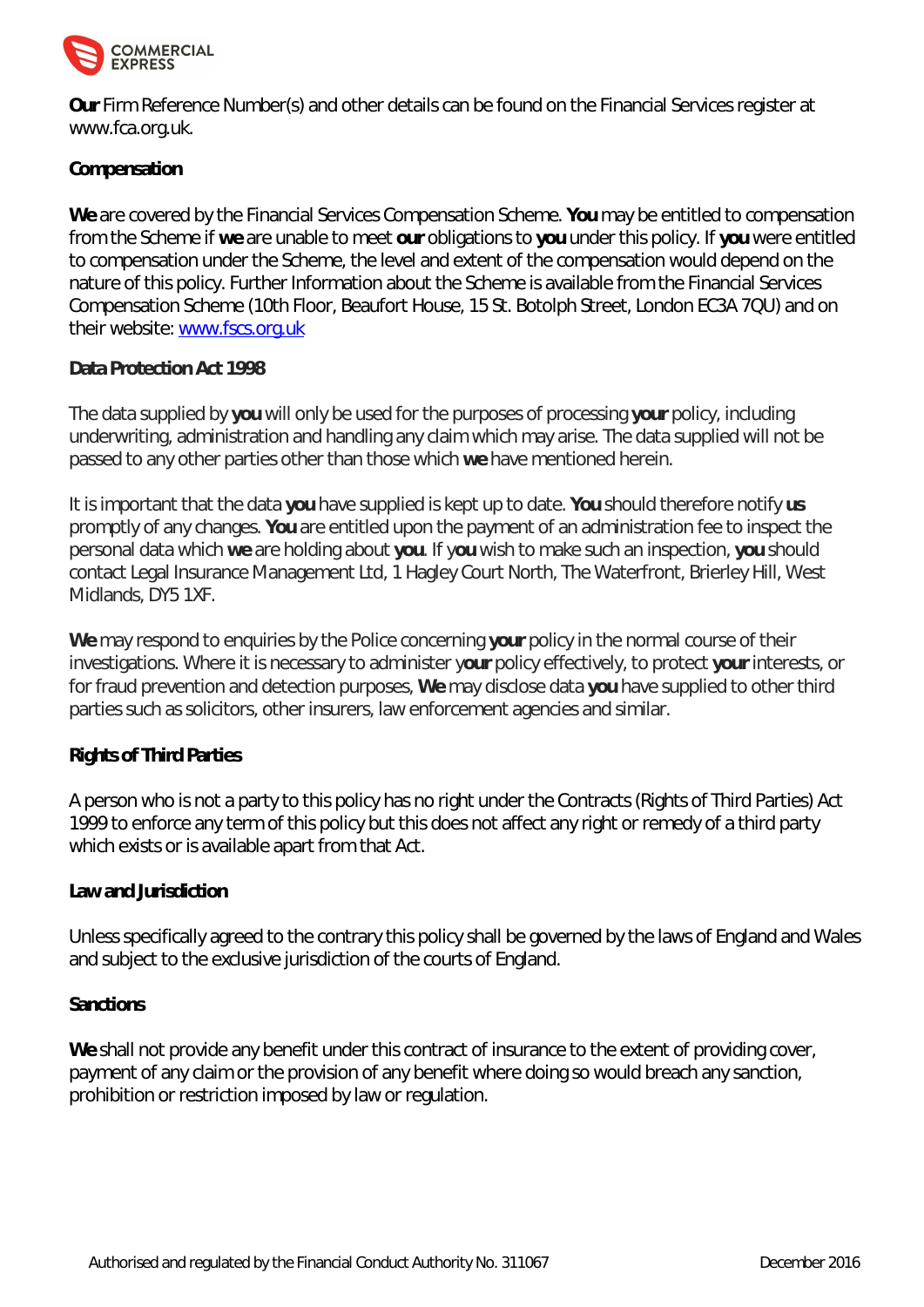

**Our** Firm Reference Number(s) and other details can be found on the Financial Services register at <www.fca.org.uk.>

# **Compensation**

**We** are covered by the Financial Services Compensation Scheme. **You** may be entitled to compensation from the Scheme if **we** are unable to meet **our** obligations to **you** under this policy. If **you** were entitled to compensation under the Scheme, the level and extent of the compensation would depend on the nature of this policy. Further Information about the Scheme is available from the Financial Services Compensation Scheme (10th Floor, Beaufort House, 15 St. Botolph Street, London EC3A 7QU) and on their website: <www.fscs.org.uk>

# **Data Protection Act 1998**

The data supplied by **you** will only be used for the purposes of processing **your** policy, including underwriting, administration and handling any claim which may arise. The data supplied will not be passed to any other parties other than those which **we** have mentioned herein.

It is important that the data **you** have supplied is kept up to date. **You** should therefore notify **us** promptly of any changes. **You** are entitled upon the payment of an administration fee to inspect the personal data which **we** are holding about **you**. If y**ou** wish to make such an inspection, **you** should contact Legal Insurance Management Ltd, 1 Hagley Court North, The Waterfront, Brierley Hill, West Midlands, DY5 1XF.

**We** may respond to enquiries by the Police concerning **your** policy in the normal course of their investigations. Where it is necessary to administer y**our** policy effectively, to protect **your** interests, or for fraud prevention and detection purposes, **We** may disclose data **you** have supplied to other third parties such as solicitors, other insurers, law enforcement agencies and similar.

# **Rights of Third Parties**

A person who is not a party to this policy has no right under the Contracts (Rights of Third Parties) Act 1999 to enforce any term of this policy but this does not affect any right or remedy of a third party which exists or is available apart from that Act.

# **Law and Jurisdiction**

Unless specifically agreed to the contrary this policy shall be governed by the laws of England and Wales and subject to the exclusive jurisdiction of the courts of England.

# **Sanctions**

We shall not provide any benefit under this contract of insurance to the extent of providing cover, payment of any claim or the provision of any benefit where doing so would breach any sanction, prohibition or restriction imposed by law or regulation.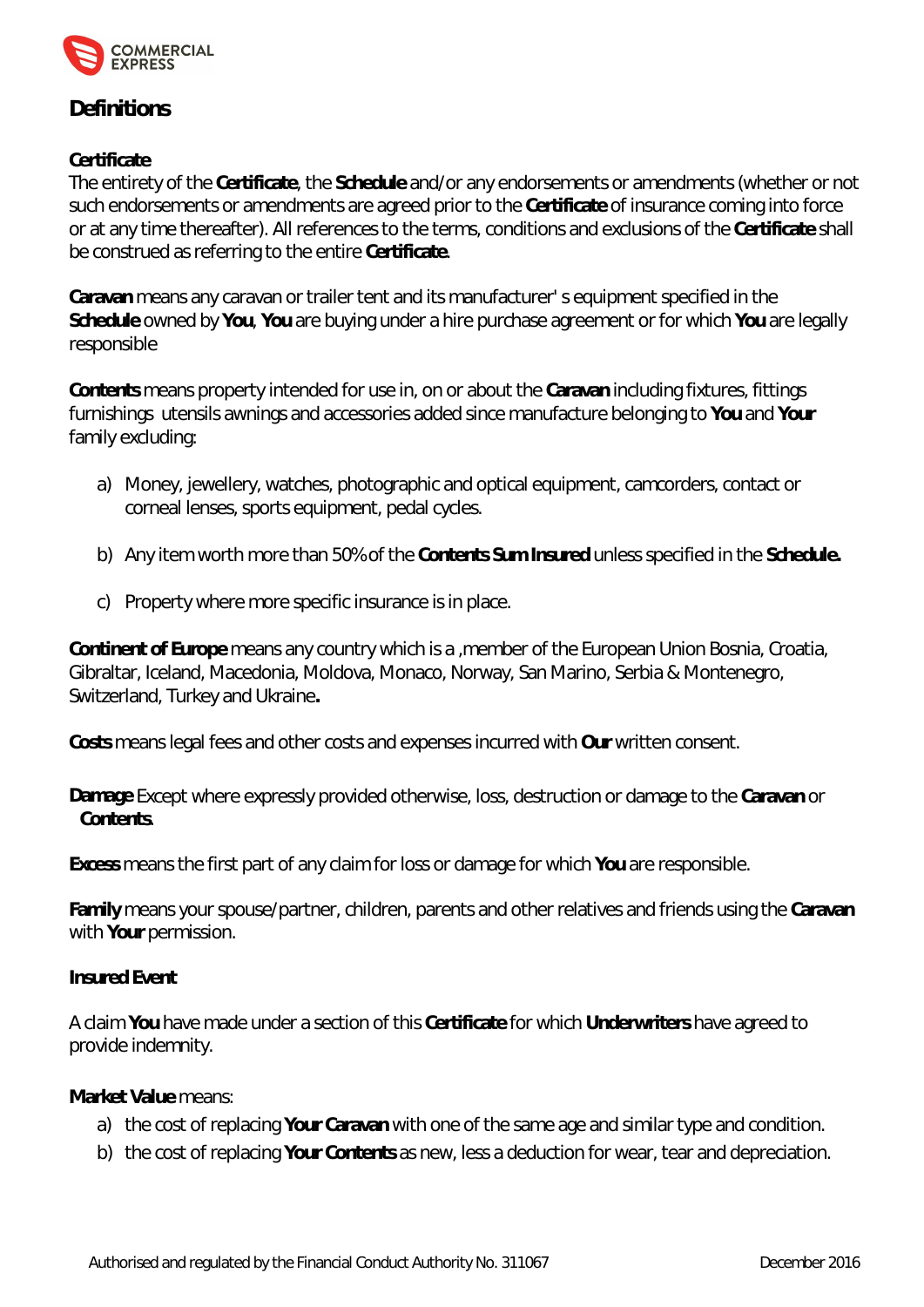

# **Definitions**

# **Certificate**

The entirety of the **Certificate**, the **Schedule** and/or any endorsements or amendments (whether or not such endorsements or amendments are agreed prior to the **Certificate** of insurance coming into force or at any time thereafter). All references to the terms, conditions and exclusions of the **Certificate** shall be construed as referring to the entire **Certificate**.

**Caravan** means any caravan or trailer tent and its manufacturer' s equipment specified in the **Schedule** owned by **You**, **You** are buying under a hire purchase agreement or for which **You** are legally responsible

**Contents** means property intended for use in, on or about the **Caravan** including fixtures, fittings furnishings utensils awnings and accessories added since manufacture belonging to **You** and **Your**  family excluding:

- a) Money, jewellery, watches, photographic and optical equipment, camcorders, contact or corneal lenses, sports equipment, pedal cycles.
- b) Any item worth more than 50% of the **Contents Sum Insured** unless specified in the **Schedule.**
- c) Property where more specific insurance is in place.

**Continent of Europe** means any country which is a ,member of the European Union Bosnia, Croatia, Gibraltar, Iceland, Macedonia, Moldova, Monaco, Norway, San Marino, Serbia & Montenegro, Switzerland, Turkey and Ukraine**.**

**Costs** means legal fees and other costs and expenses incurred with **Our** written consent.

**Damage** Except where expressly provided otherwise, loss, destruction or damage to the **Caravan** or **Contents**.

**Excess** means the first part of any claim for loss or damage for which **You** are responsible.

**Family** means your spouse/partner, children, parents and other relatives and friends using the **Caravan** with **Your** permission.

**Insured Event**

A claim **You** have made under a section of this **Certificate** for which **Underwriters** have agreed to provide indemnity.

**Market Value** means:

- a) the cost of replacing **Your Caravan** with one of the same age and similar type and condition.
- b) the cost of replacing **Your Contents** as new, less a deduction for wear, tear and depreciation.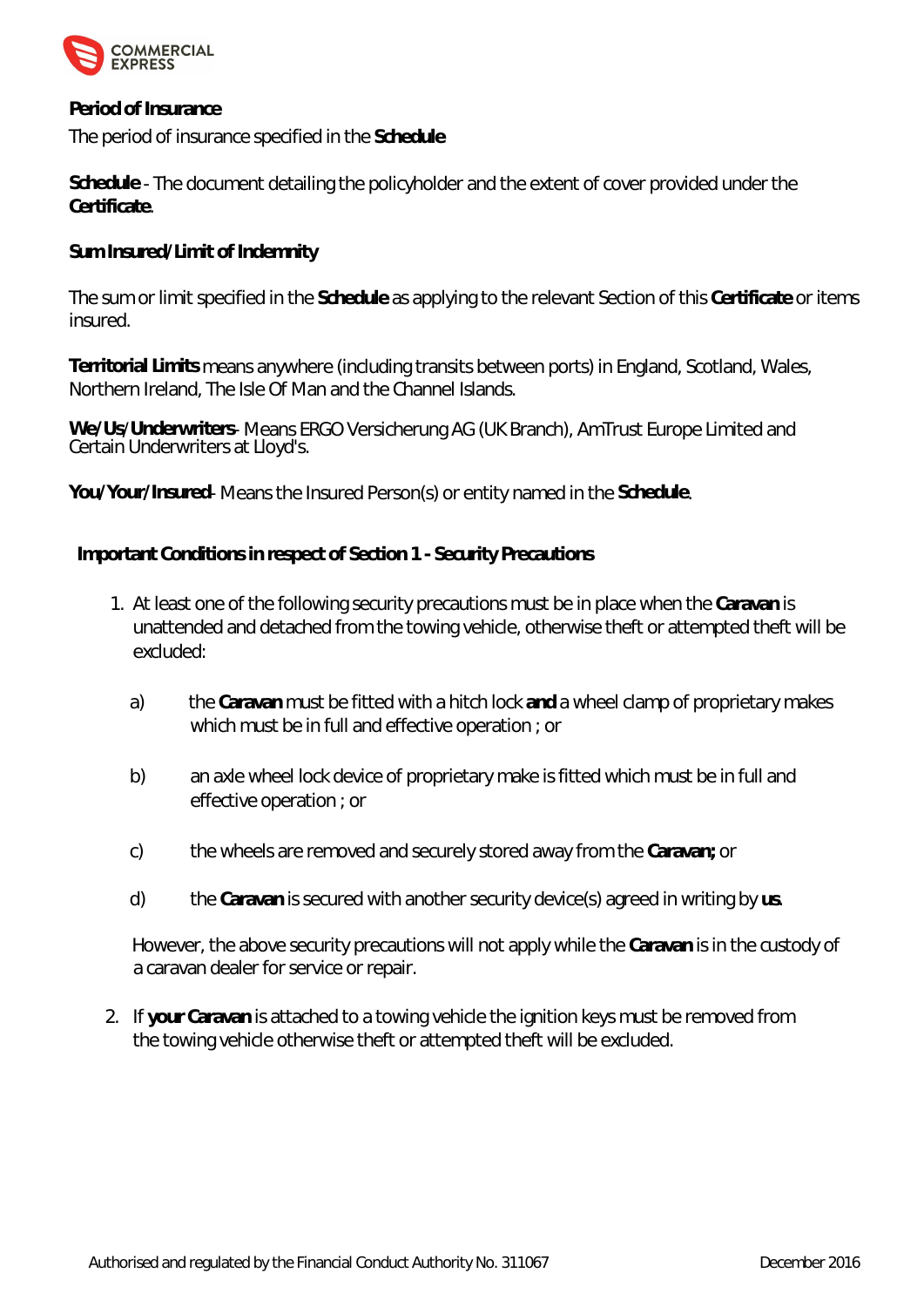

**Period of Insurance**

The period of insurance specified in the **Schedule**

**Schedule** - The document detailing the policyholder and the extent of cover provided under the **Certificate**.

**Sum Insured/Limit of Indemnity**

The sum or limit specified in the **Schedule** as applying to the relevant Section of this **Certificate** or items insured.

**Territorial Limits** means anywhere (including transits between ports) in England, Scotland, Wales, Northern Ireland, The Isle Of Man and the Channel Islands.

**We/Us**/**Underwriters**- Means ERGO Versicherung AG (UK Branch), AmTrust Europe Limited and Certain Underwriters at Lloyd's.

**You/Your/Insured**- Means the Insured Person(s) or entity named in the **Schedule**.

**Important Conditions in respect of Section 1 - Security Precautions**

- 1. At least one of the following security precautions must be in place when the **Caravan** is unattended and detached from the towing vehicle, otherwise theft or attempted theft will be excluded:
	- a) the **Caravan** must be fitted with a hitch lock **and** a wheel clamp of proprietary makes which must be in full and effective operation ; or
	- b) an axle wheel lock device of proprietary make is fitted which must be in full and effective operation ; or
	- c) the wheels are removed and securely stored away from the **Caravan;** or
	- d) the **Caravan** is secured with another security device(s) agreed in writing by **us**.

However, the above security precautions will not apply while the **Caravan** is in the custody of a caravan dealer for service or repair.

2. If **your Caravan** is attached to a towing vehicle the ignition keys must be removed from the towing vehicle otherwise theft or attempted theft will be excluded.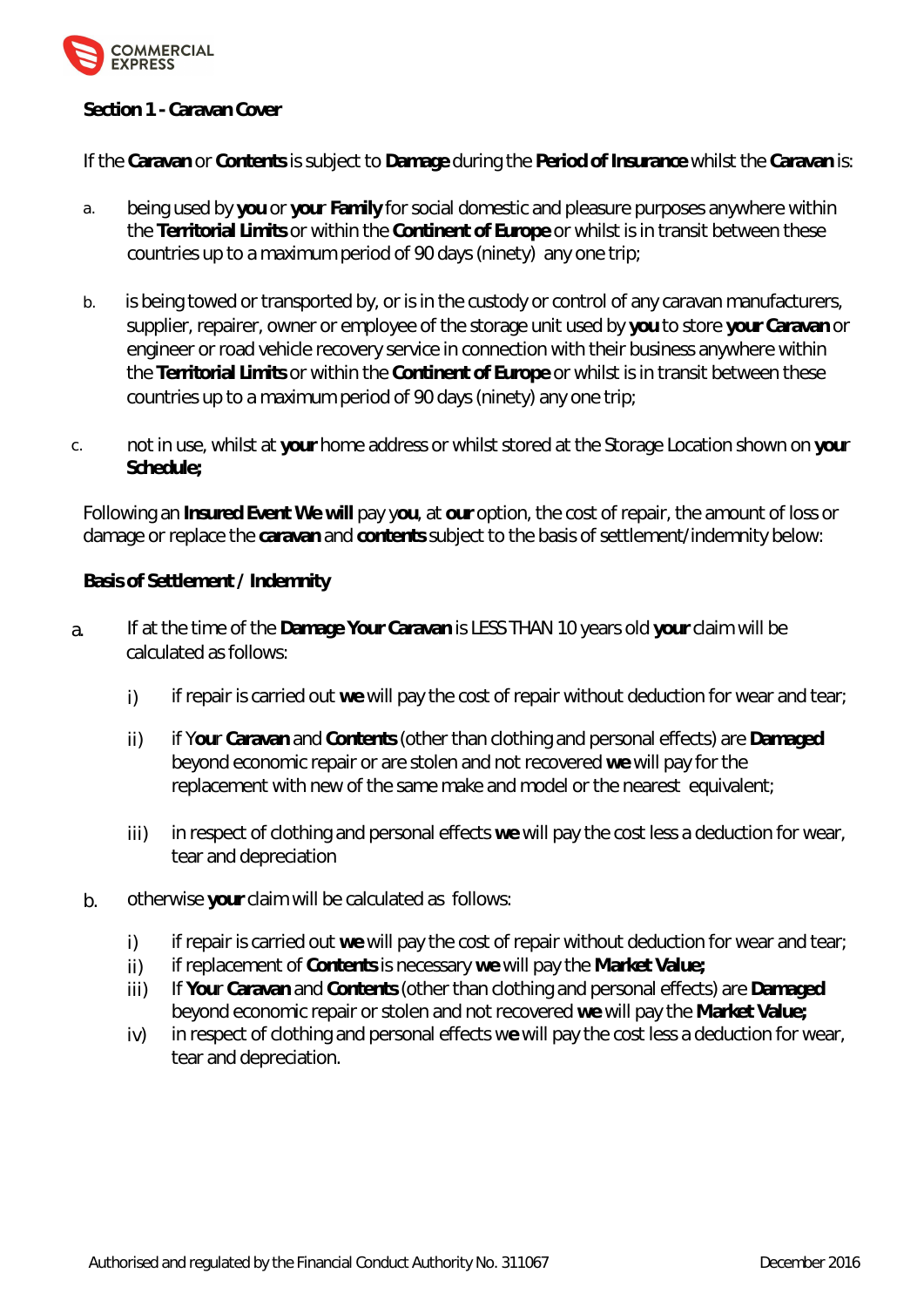

# **Section 1 - Caravan Cover**

If the **Caravan** or **Contents** is subject to **Damage** during the **Period of Insurance** whilst the **Caravan** is:

- a. being used by **you** or **you**r **Family** for social domestic and pleasure purposes anywhere within the **Territorial Limits** or within the **Continent of Europe** or whilst is in transit between these countries up to a maximum period of 90 days (ninety) any one trip;
- b. is being towed or transported by, or is in the custody or control of any caravan manufacturers, supplier, repairer, owner or employee of the storage unit used by **you** to store **your Caravan** or engineer or road vehicle recovery service in connection with their business anywhere within the **Territorial Limits** or within the **Continent of Europe** or whilst is in transit between these countries up to a maximum period of 90 days (ninety) any one trip;
- c. not in use, whilst at **your** home address or whilst stored at the Storage Location shown on **you**r **Schedule;**

Following an **Insured Event We will** pay y**ou**, at **our** option, the cost of repair, the amount of loss or damage or replace the **caravan** and **contents** subject to the basis of settlement/indemnity below:

**Basis of Settlement / Indemnity**

- a. If at the time of the **Damage Your Caravan** is LESS THAN 10 years old **your** claim will be calculated as follows:
	- i) if repair is carried out we will pay the cost of repair without deduction for wear and tear;
	- ii) if Y**ou**r **Caravan** and **Contents** (other than clothing and personal effects) are **Damaged**  beyond economic repair or are stolen and not recovered **we** will pay for the replacement with new of the same make and model or the nearest equivalent;
	- iii) in respect of clothing and personal effects we will pay the cost less a deduction for wear, tear and depreciation
	- b. otherwise **your** claim will be calculated as follows:
		- i) if repair is carried out we will pay the cost of repair without deduction for wear and tear;
		- ii) if replacement of **Contents** is necessary **we** will pay the **Market Value;**
		- iii) If **You**r **Caravan** and **Contents** (other than clothing and personal effects) are **Damaged** beyond economic repair or stolen and not recovered **we** will pay the **Market Value;**
		- iv) in respect of clothing and personal effects w**e** will pay the cost less a deduction for wear, tear and depreciation.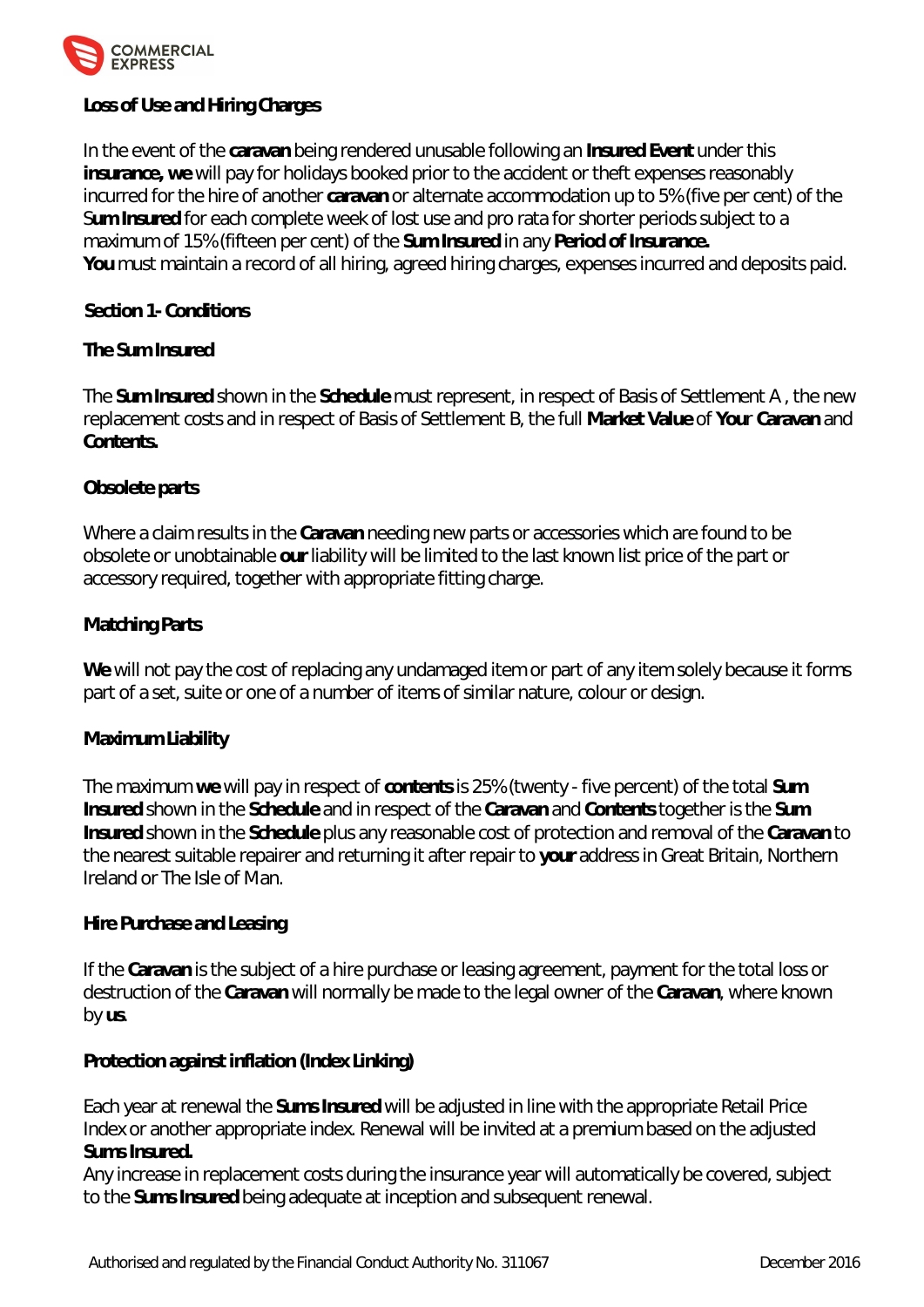

# **Loss of Use and Hiring Charges**

In the event of the **caravan** being rendered unusable following an **Insured Event** under this **insurance, we** will pay for holidays booked prior to the accident or theft expenses reasonably incurred for the hire of another **caravan** or alternate accommodation up to 5% (five per cent) of the S**um Insured** for each complete week of lost use and pro rata for shorter periods subject to a maximum of 15% (fifteen per cent) of the **Sum Insured** in any **Period of Insurance. You** must maintain a record of all hiring, agreed hiring charges, expenses incurred and deposits paid.

 **Section 1- Conditions**

# **The Sum Insured**

The **Sum Insured** shown in the **Schedule** must represent, in respect of Basis of Settlement A , the new replacement costs and in respect of Basis of Settlement B, the full **Market Value** of **You**r **Caravan** and **Contents.**

# **Obsolete parts**

Where a claim results in the **Caravan** needing new parts or accessories which are found to be obsolete or unobtainable **our** liability will be limited to the last known list price of the part or accessory required, together with appropriate fitting charge.

# **Matching Parts**

**We** will not pay the cost of replacing any undamaged item or part of any item solely because it forms part of a set, suite or one of a number of items of similar nature, colour or design.

# **Maximum Liability**

The maximum **we** will pay in respect of **contents** is 25% (twenty - five percent) of the total **Sum Insured** shown in the **Schedule** and in respect of the **Caravan** and **Contents** together is the **Sum Insured** shown in the **Schedule** plus any reasonable cost of protection and removal of the **Caravan** to the nearest suitable repairer and returning it after repair to **your** address in Great Britain, Northern Ireland or The Isle of Man.

# **Hire Purchase and Leasing**

If the **Caravan** is the subject of a hire purchase or leasing agreement, payment for the total loss or destruction of the **Caravan** will normally be made to the legal owner of the **Caravan**, where known by **us**.

**Protection against inflation (Index Linking)**

Each year at renewal the **Sums Insured** will be adjusted in line with the appropriate Retail Price Index or another appropriate index. Renewal will be invited at a premium based on the adjusted **Sums Insured.**

Any increase in replacement costs during the insurance year will automatically be covered, subject to the **Sums Insured** being adequate at inception and subsequent renewal.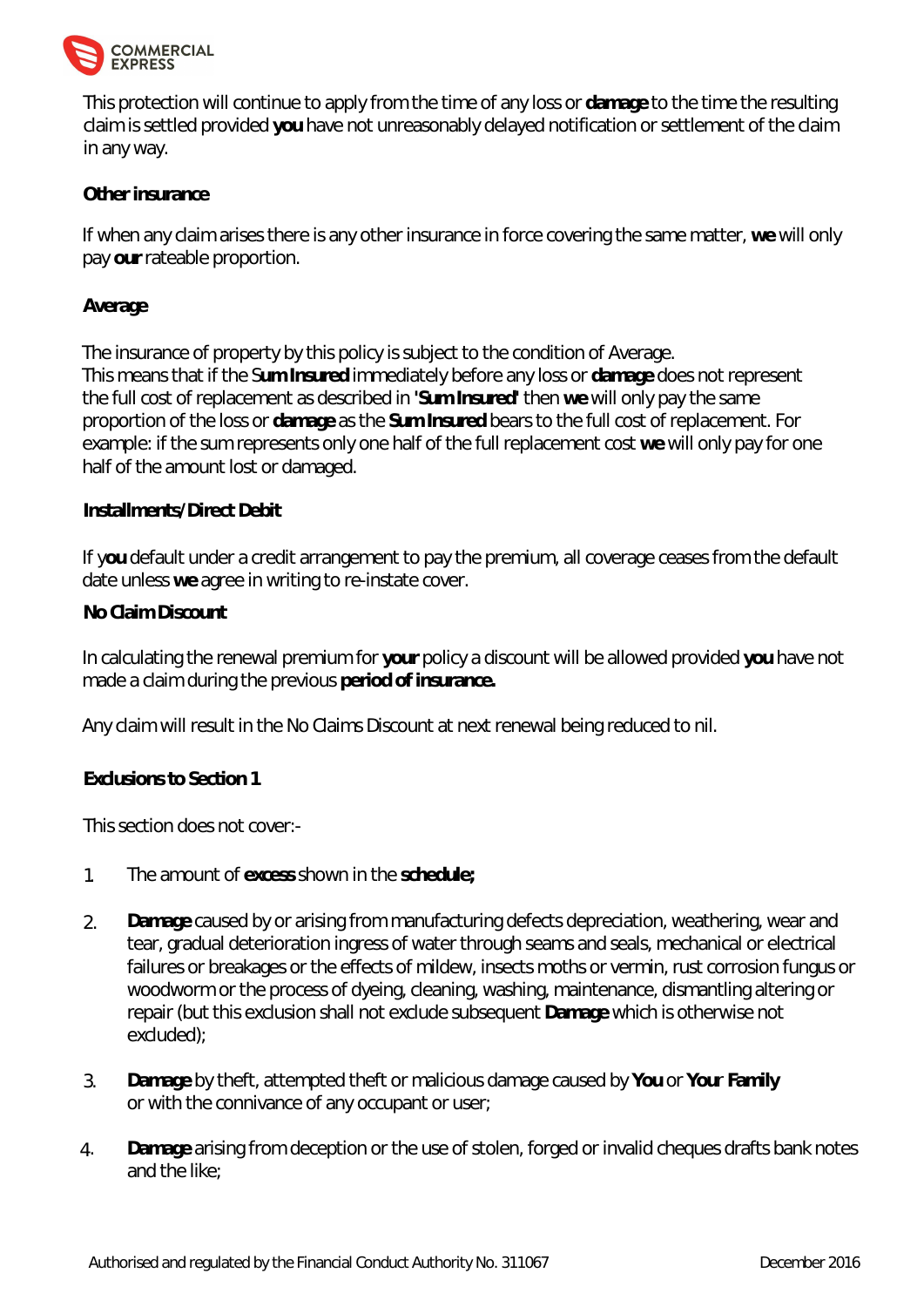

This protection will continue to apply from the time of any loss or **damage** to the time the resulting claim is settled provided **you** have not unreasonably delayed notification or settlement of the claim in any way.

# **Other insurance**

If when any claim arises there is any other insurance in force covering the same matter, **we** will only pay **our** rateable proportion.

# **Average**

The insurance of property by this policy is subject to the condition of Average. This means that if the S**um Insured** immediately before any loss or **damage** does not represent the full cost of replacement as described in **'Sum Insured'** then **we** will only pay the same proportion of the loss or **damage** as the **Sum Insured** bears to the full cost of replacement. For example: if the sum represents only one half of the full replacement cost **we** will only pay for one half of the amount lost or damaged.

# **Installments/Direct Debit**

If y**ou** default under a credit arrangement to pay the premium, all coverage ceases from the default date unless **we** agree in writing to re-instate cover.

# **No Claim Discount**

In calculating the renewal premium for **your** policy a discount will be allowed provided **you** have not made a claim during the previous **period of insurance.**

Any claim will result in the No Claims Discount at next renewal being reduced to nil.

**Exclusions to Section 1**

This section does not cover:-

- 1. The amount of **excess** shown in the **schedule;**
- 2. **Damage** caused by or arising from manufacturing defects depreciation, weathering, wear and tear, gradual deterioration ingress of water through seams and seals, mechanical or electrical failures or breakages or the effects of mildew, insects moths or vermin, rust corrosion fungus or woodworm or the process of dyeing, cleaning, washing, maintenance, dismantling altering or repair (but this exclusion shall not exclude subsequent **Damage** which is otherwise not excluded);
- 3. **Damage** by theft, attempted theft or malicious damage caused by **You** or **You**r **Family**  or with the connivance of any occupant or user;
- 4. **Damage** arising from deception or the use of stolen, forged or invalid cheques drafts bank notes and the like;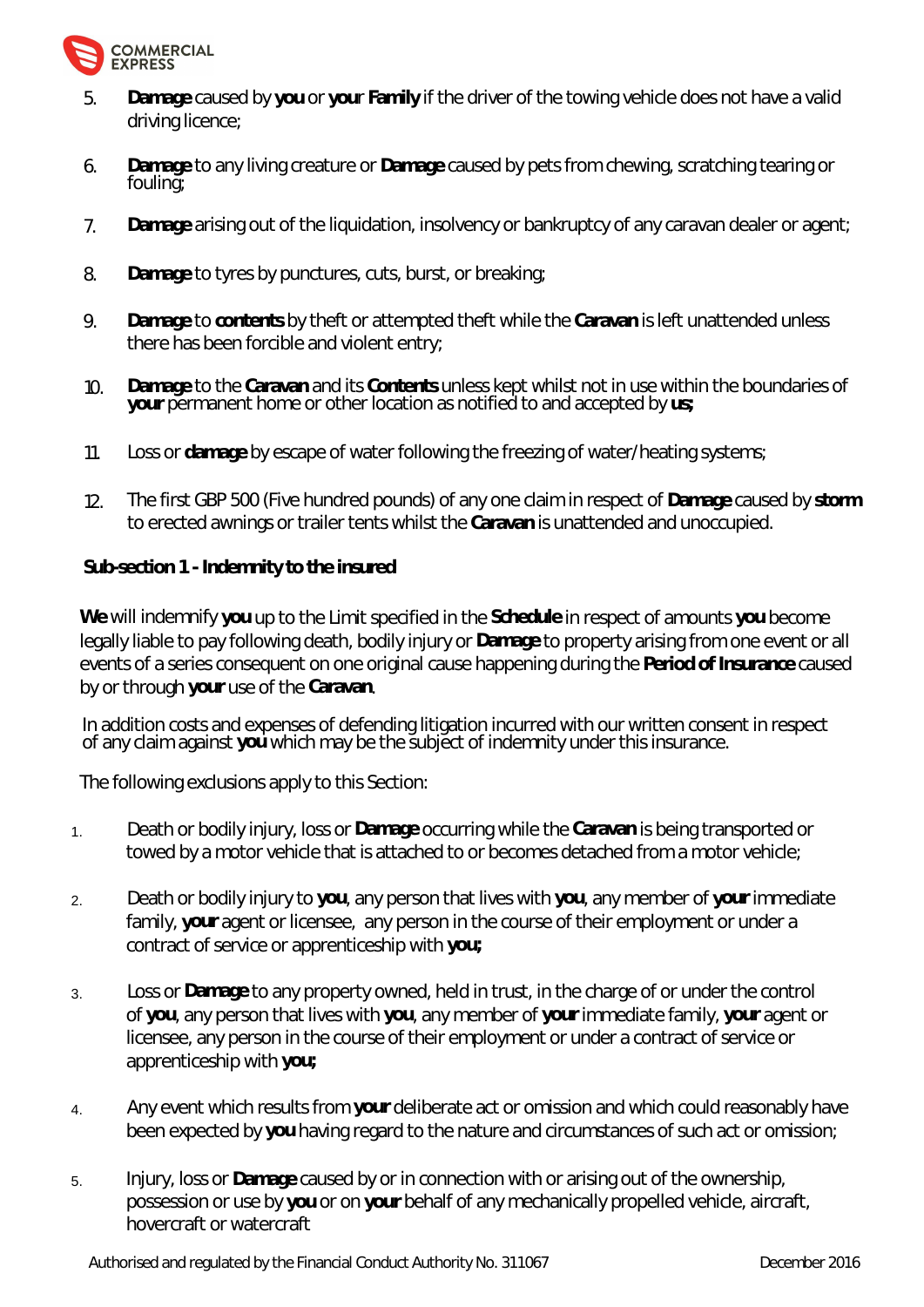

- 5. **Damage** caused by **you** or **you**r **Family** if the driver of the towing vehicle does not have a valid driving licence;
- 6. **Damage** to any living creature or **Damage** caused by pets from chewing, scratching tearing or fouling;
- 7. **Damage** arising out of the liquidation, insolvency or bankruptcy of any caravan dealer or agent;
- 8. **Damage** to tyres by punctures, cuts, burst, or breaking;
- 9. **Damage** to **contents** by theft or attempted theft while the **Caravan** is left unattended unless there has been forcible and violent entry;
- 10. **Damage** to the **Caravan** and its **Contents** unless kept whilst not in use within the boundaries of **your** permanent home or other location as notified to and accepted by **us;**
- 11. Loss or **damage** by escape of water following the freezing of water/heating systems;
- 12. The first GBP 500 (Five hundred pounds) of any one claim in respect of **Damage** caused by **storm** to erected awnings or trailer tents whilst the **Caravan** is unattended and unoccupied.

**Sub-section 1 - Indemnity to the insured**

**We** will indemnify **you** up to the Limit specified in the **Schedule** in respect of amounts **you** become legally liable to pay following death, bodily injury or **Damage** to property arising from one event or all events of a series consequent on one original cause happening during the **Period of Insurance** caused by or through **your** use of the **Caravan**.

In addition costs and expenses of defending litigation incurred with our written consent in respect of any claim against **you** which may be the subject of indemnity under this insurance.

The following exclusions apply to this Section:

- 1. Death or bodily injury, loss or **Damage** occurring while the **Caravan** is being transported or towed by a motor vehicle that is attached to or becomes detached from a motor vehicle;
- 2. Death or bodily injury to **you**, any person that lives with **you**, any member of **your** immediate family, **your** agent or licensee, any person in the course of their employment or under a contract of service or apprenticeship with **you;**
- 3. Loss or **Damage** to any property owned, held in trust, in the charge of or under the control of **you**, any person that lives with **you**, any member of **your** immediate family, **your** agent or licensee, any person in the course of their employment or under a contract of service or apprenticeship with **you;**
- 4. Any event which results from **your** deliberate act or omission and which could reasonably have been expected by **you** having regard to the nature and circumstances of such act or omission;
- 5. Injury, loss or **Damage** caused by or in connection with or arising out of the ownership, possession or use by **you** or on **your** behalf of any mechanically propelled vehicle, aircraft, hovercraft or watercraft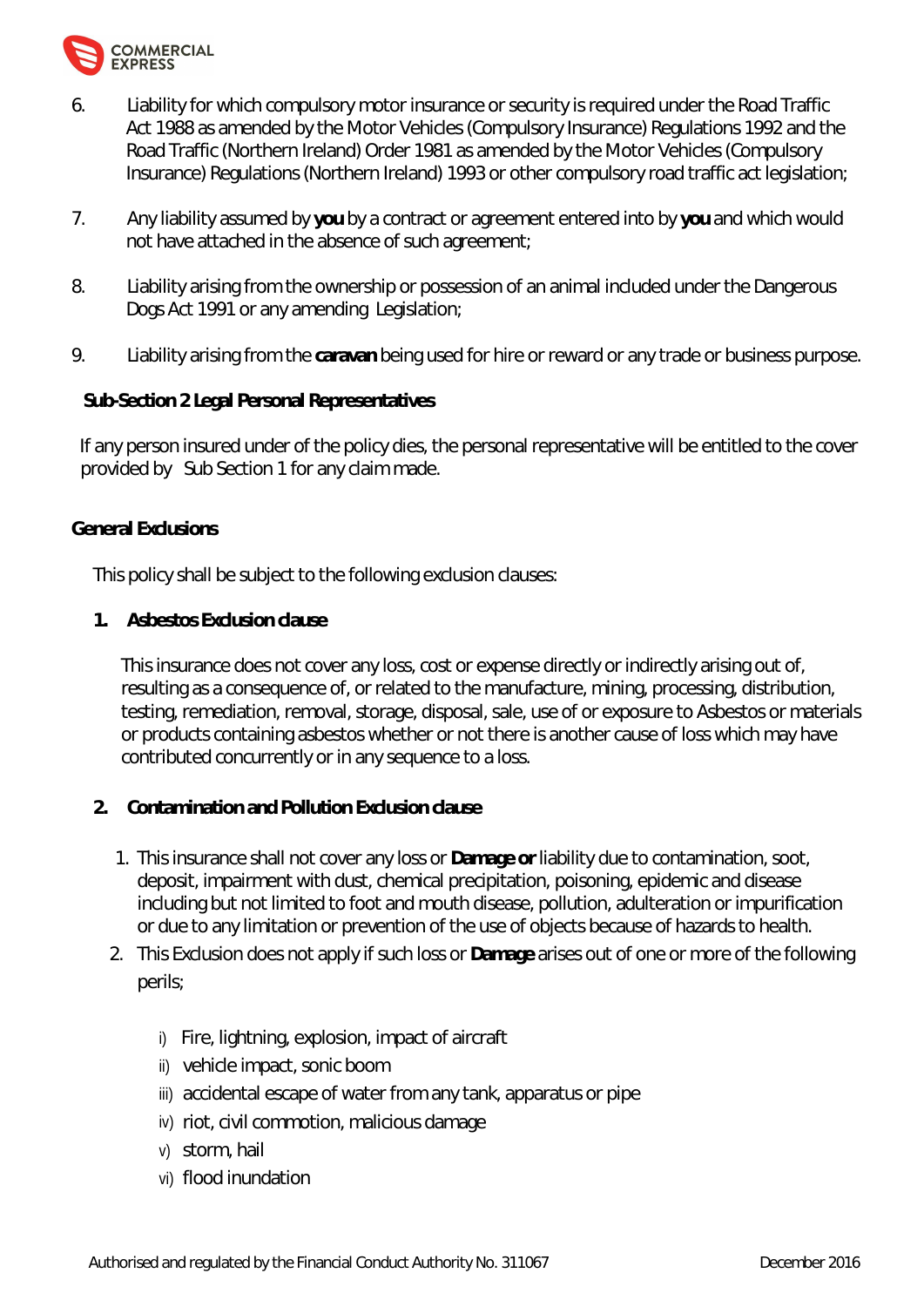

- 6. Liability for which compulsory motor insurance or security is required under the Road Traffic Act 1988 as amended by the Motor Vehicles (Compulsory Insurance) Regulations 1992 and the Road Traffic (Northern Ireland) Order 1981 as amended by the Motor Vehicles (Compulsory Insurance) Regulations (Northern Ireland) 1993 or other compulsory road traffic act legislation;
- 7. Any liability assumed by **you** by a contract or agreement entered into by **you** and which would not have attached in the absence of such agreement;
- 8. Liability arising from the ownership or possession of an animal included under the Dangerous Dogs Act 1991 or any amending Legislation;
- 9. Liability arising from the **caravan** being used for hire or reward or any trade or business purpose.

**Sub-Section 2 Legal Personal Representatives**

 If any person insured under of the policy dies, the personal representative will be entitled to the cover provided by Sub Section 1 for any claim made.

# **General Exclusions**

This policy shall be subject to the following exclusion clauses:

**1. Asbestos Exclusion clause**

This insurance does not cover any loss, cost or expense directly or indirectly arising out of, resulting as a consequence of, or related to the manufacture, mining, processing, distribution, testing, remediation, removal, storage, disposal, sale, use of or exposure to Asbestos or materials or products containing asbestos whether or not there is another cause of loss which may have contributed concurrently or in any sequence to a loss.

- **2. Contamination and Pollution Exclusion clause**
	- 1. This insurance shall not cover any loss or **Damage or** liability due to contamination, soot, deposit, impairment with dust, chemical precipitation, poisoning, epidemic and disease including but not limited to foot and mouth disease, pollution, adulteration or impurification or due to any limitation or prevention of the use of objects because of hazards to health.
	- 2. This Exclusion does not apply if such loss or **Damage** arises out of one or more of the following perils;
		- i) Fire, lightning, explosion, impact of aircraft
		- ii) vehicle impact, sonic boom
		- iii) accidental escape of water from any tank, apparatus or pipe
		- iv) riot, civil commotion, malicious damage
		- v) storm, hail
		- vi) flood inundation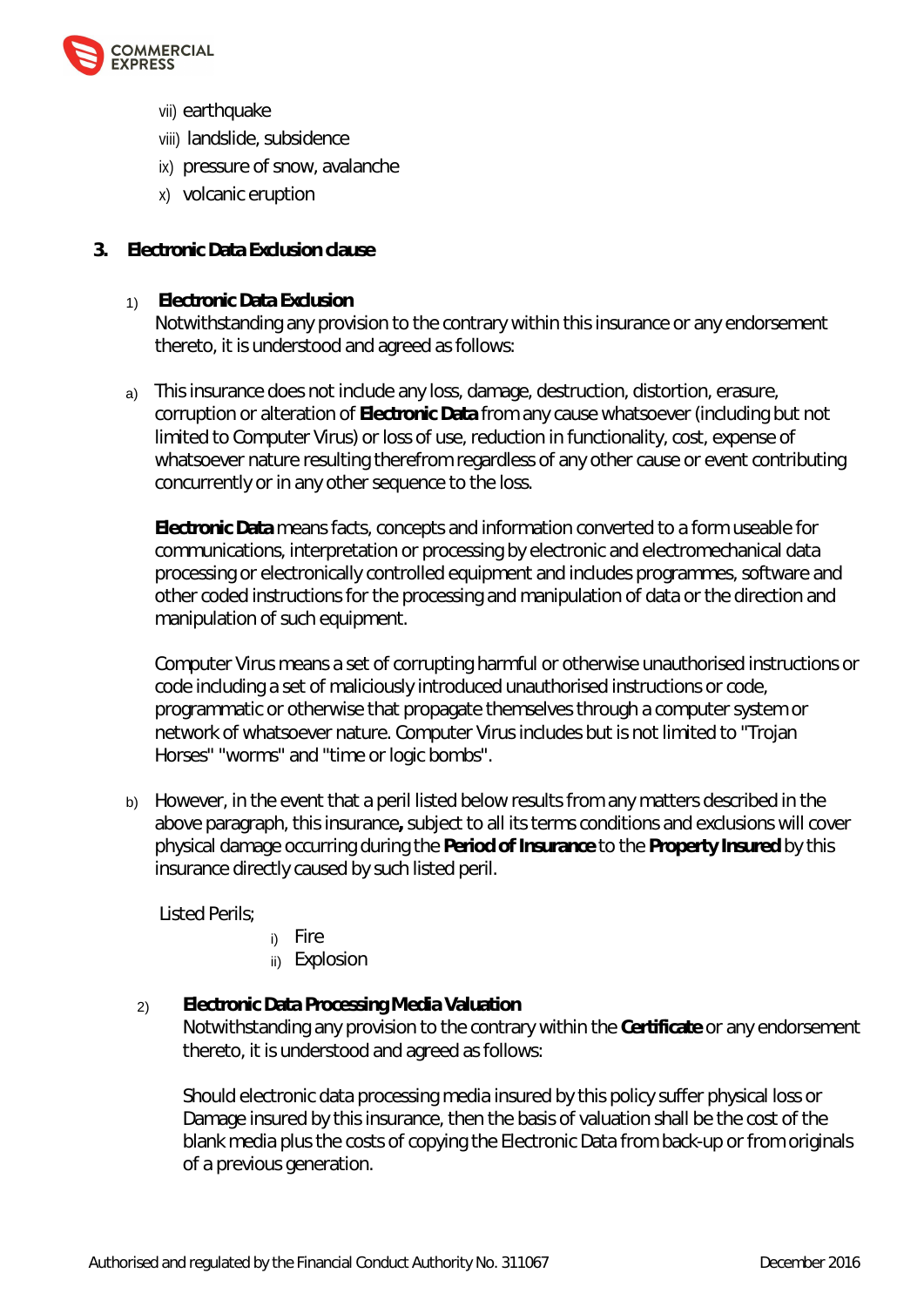

- vii) earthquake
- viii) landslide, subsidence
- ix) pressure of snow, avalanche
- x) volcanic eruption
- **3. Electronic Data Exclusion clause**
	- 1) **Electronic Data Exclusion** Notwithstanding any provision to the contrary within this insurance or any endorsement thereto, it is understood and agreed as follows:
	- a) This insurance does not include any loss, damage, destruction, distortion, erasure, corruption or alteration of **Electronic Data** from any cause whatsoever (including but not limited to Computer Virus) or loss of use, reduction in functionality, cost, expense of whatsoever nature resulting therefrom regardless of any other cause or event contributing concurrently or in any other sequence to the loss.

**Electronic Data** means facts, concepts and information converted to a form useable for communications, interpretation or processing by electronic and electromechanical data processing or electronically controlled equipment and includes programmes, software and other coded instructions for the processing and manipulation of data or the direction and manipulation of such equipment.

Computer Virus means a set of corrupting harmful or otherwise unauthorised instructions or code including a set of maliciously introduced unauthorised instructions or code, programmatic or otherwise that propagate themselves through a computer system or network of whatsoever nature. Computer Virus includes but is not limited to "Trojan Horses" "worms" and "time or logic bombs".

b) However, in the event that a peril listed below results from any matters described in the above paragraph, this insurance**,** subject to all its terms conditions and exclusions will cover physical damage occurring during the **Period of Insurance** to the **Property Insured** by this insurance directly caused by such listed peril.

Listed Perils;

- i) Fire
- ii) Explosion

# 2) **Electronic Data Processing Media Valuation** Notwithstanding any provision to the contrary within the **Certificate** or any endorsement thereto, it is understood and agreed as follows:

Should electronic data processing media insured by this policy suffer physical loss or Damage insured by this insurance, then the basis of valuation shall be the cost of the blank media plus the costs of copying the Electronic Data from back-up or from originals of a previous generation.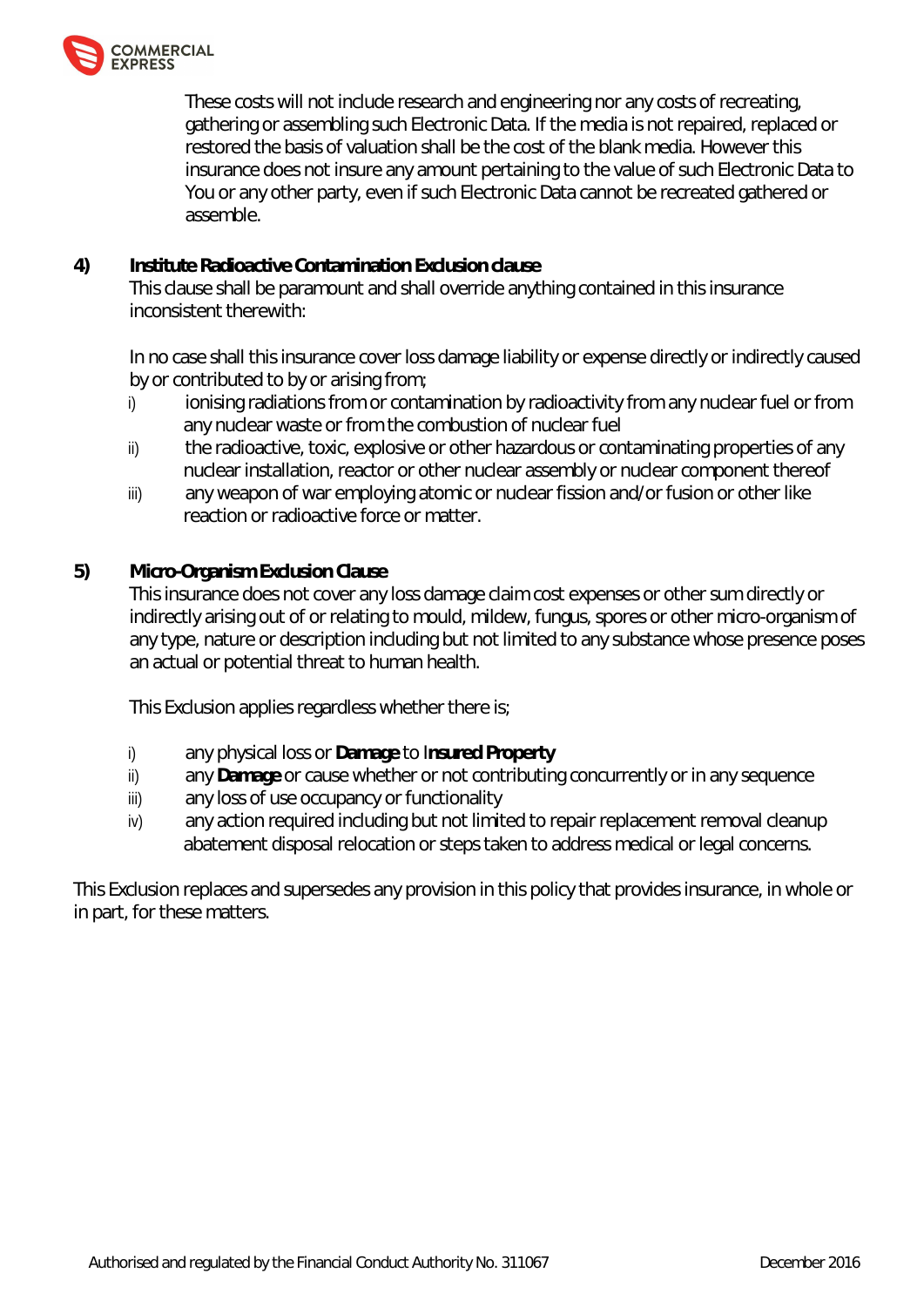

These costs will not include research and engineering nor any costs of recreating, gathering or assembling such Electronic Data. If the media is not repaired, replaced or restored the basis of valuation shall be the cost of the blank media. However this insurance does not insure any amount pertaining to the value of such Electronic Data to You or any other party, even if such Electronic Data cannot be recreated gathered or assemble.

**4) Institute Radioactive Contamination Exclusion clause** This clause shall be paramount and shall override anything contained in this insurance inconsistent therewith:

In no case shall this insurance cover loss damage liability or expense directly or indirectly caused by or contributed to by or arising from;

- i) ionising radiations from or contamination by radioactivity from any nuclear fuel or from any nuclear waste or from the combustion of nuclear fuel
- ii) the radioactive, toxic, explosive or other hazardous or contaminating properties of any nuclear installation, reactor or other nuclear assembly or nuclear component thereof
- iii) any weapon of war employing atomic or nuclear fission and/or fusion or other like reaction or radioactive force or matter.
- **5) Micro-Organism Exclusion Clause**

This insurance does not cover any loss damage claim cost expenses or other sum directly or indirectly arising out of or relating to mould, mildew, fungus, spores or other micro-organism of any type, nature or description including but not limited to any substance whose presence poses an actual or potential threat to human health.

This Exclusion applies regardless whether there is;

- i) any physical loss or **Damage** to I**nsured Property**
- ii) any **Damage** or cause whether or not contributing concurrently or in any sequence
- iii) any loss of use occupancy or functionality
- iv) any action required including but not limited to repair replacement removal cleanup abatement disposal relocation or steps taken to address medical or legal concerns.

This Exclusion replaces and supersedes any provision in this policy that provides insurance, in whole or in part, for these matters.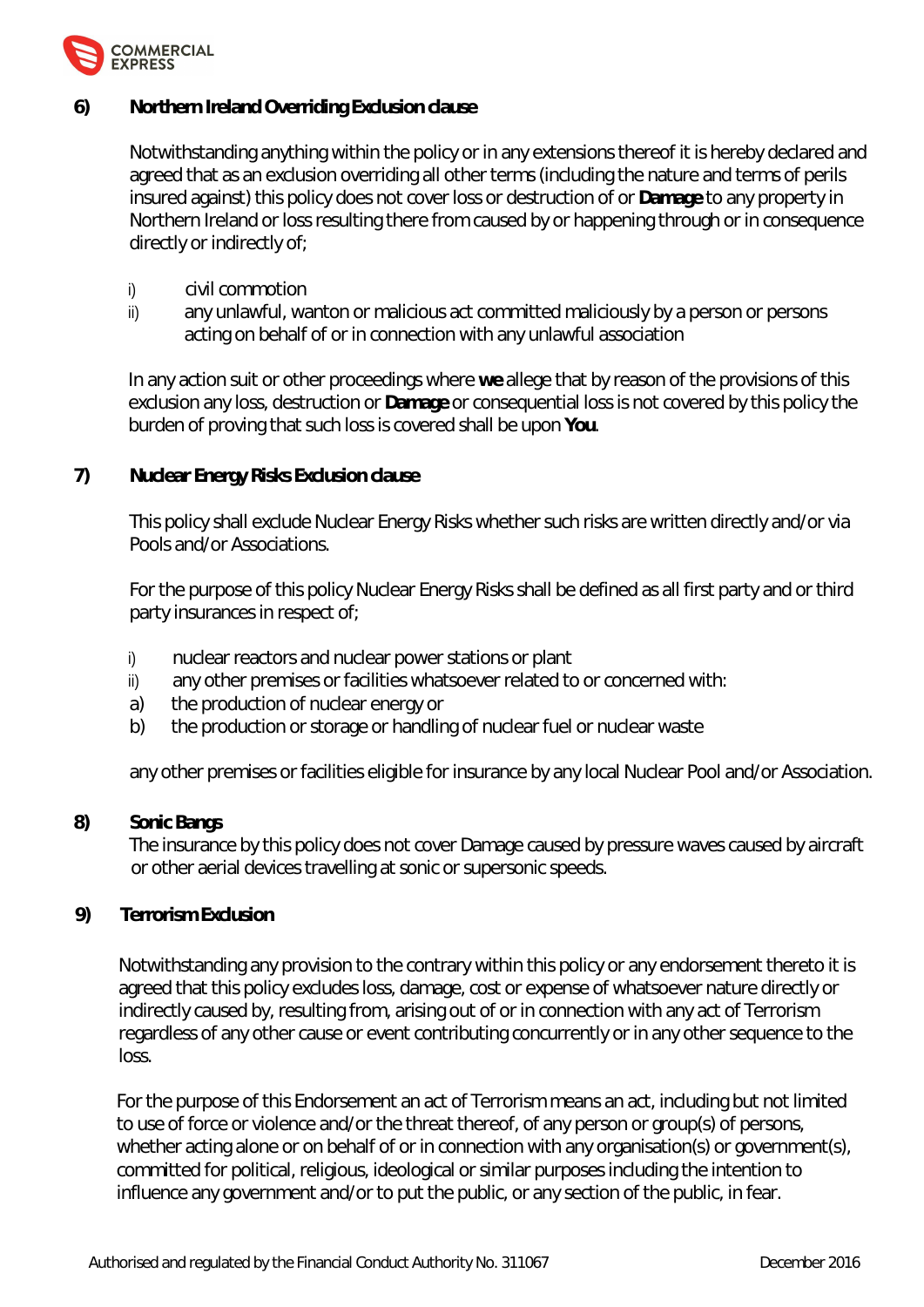

**6) Northern Ireland Overriding Exclusion clause**

Notwithstanding anything within the policy or in any extensions thereof it is hereby declared and agreed that as an exclusion overriding all other terms (including the nature and terms of perils insured against) this policy does not cover loss or destruction of or **Damage** to any property in Northern Ireland or loss resulting there from caused by or happening through or in consequence directly or indirectly of;

- i) civil commotion
- ii) any unlawful, wanton or malicious act committed maliciously by a person or persons acting on behalf of or in connection with any unlawful association

In any action suit or other proceedings where **we** allege that by reason of the provisions of this exclusion any loss, destruction or **Damage** or consequential loss is not covered by this policy the burden of proving that such loss is covered shall be upon **You**.

**7) Nuclear Energy Risks Exclusion clause**

This policy shall exclude Nuclear Energy Risks whether such risks are written directly and/or via Pools and/or Associations.

For the purpose of this policy Nuclear Energy Risks shall be defined as all first party and or third party insurances in respect of;

- i) nuclear reactors and nuclear power stations or plant
- ii) any other premises or facilities whatsoever related to or concerned with:
- a) the production of nuclear energy or
- b) the production or storage or handling of nuclear fuel or nuclear waste

any other premises or facilities eligible for insurance by any local Nuclear Pool and/or Association.

# **8) Sonic Bangs**

The insurance by this policy does not cover Damage caused by pressure waves caused by aircraft or other aerial devices travelling at sonic or supersonic speeds.

**9) Terrorism Exclusion**

Notwithstanding any provision to the contrary within this policy or any endorsement thereto it is agreed that this policy excludes loss, damage, cost or expense of whatsoever nature directly or indirectly caused by, resulting from, arising out of or in connection with any act of Terrorism regardless of any other cause or event contributing concurrently or in any other sequence to the loss.

For the purpose of this Endorsement an act of Terrorism means an act, including but not limited to use of force or violence and/or the threat thereof, of any person or group(s) of persons, whether acting alone or on behalf of or in connection with any organisation(s) or government(s), committed for political, religious, ideological or similar purposes including the intention to influence any government and/or to put the public, or any section of the public, in fear.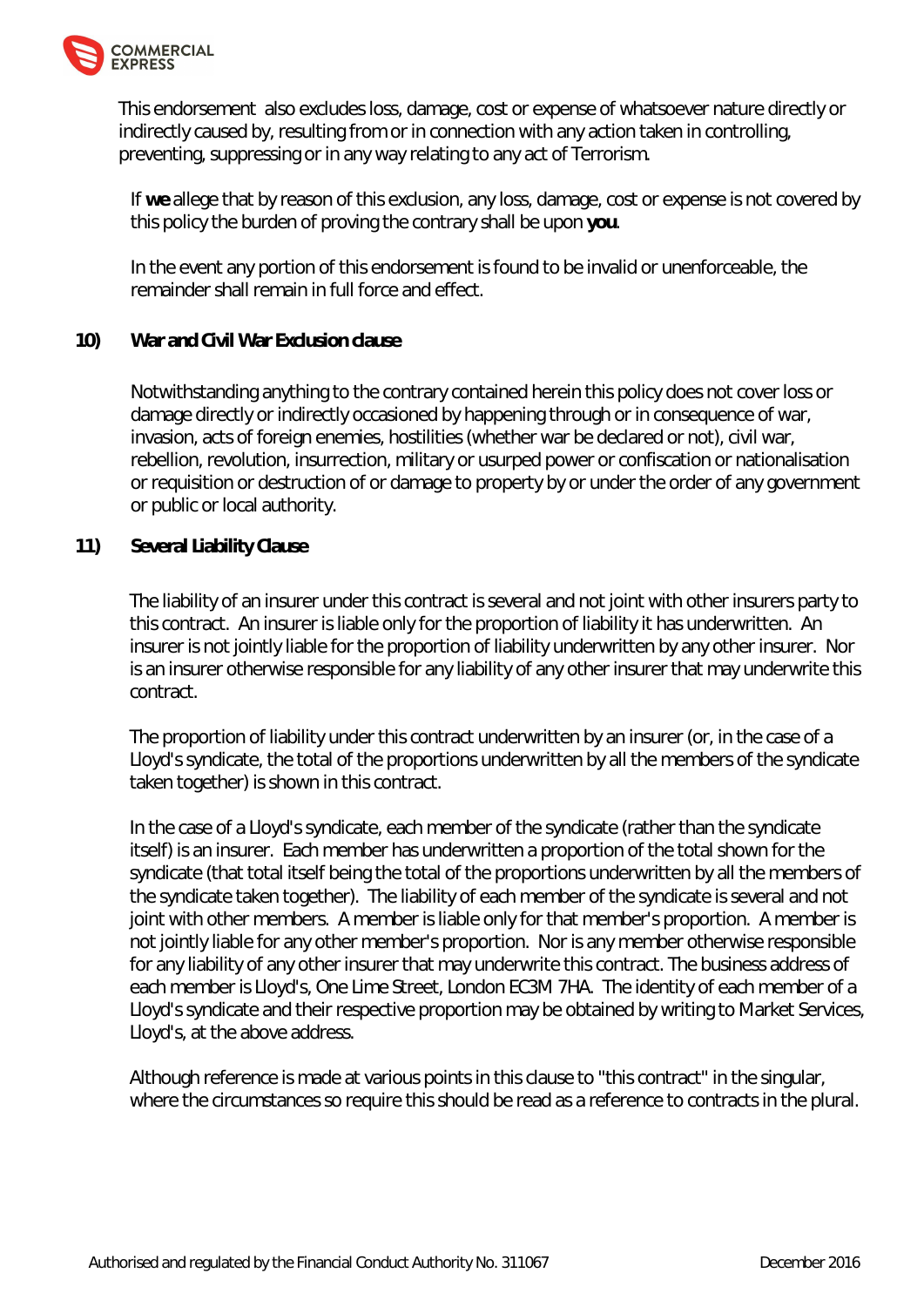

This endorsement also excludes loss, damage, cost or expense of whatsoever nature directly or indirectly caused by, resulting from or in connection with any action taken in controlling, preventing, suppressing or in any way relating to any act of Terrorism.

If **we** allege that by reason of this exclusion, any loss, damage, cost or expense is not covered by this policy the burden of proving the contrary shall be upon **you**.

In the event any portion of this endorsement is found to be invalid or unenforceable, the remainder shall remain in full force and effect.

# **10) War and Civil War Exclusion clause**

Notwithstanding anything to the contrary contained herein this policy does not cover loss or damage directly or indirectly occasioned by happening through or in consequence of war, invasion, acts of foreign enemies, hostilities (whether war be declared or not), civil war, rebellion, revolution, insurrection, military or usurped power or confiscation or nationalisation or requisition or destruction of or damage to property by or under the order of any government or public or local authority.

# **11) Several Liability Clause**

The liability of an insurer under this contract is several and not joint with other insurers party to this contract. An insurer is liable only for the proportion of liability it has underwritten. An insurer is not jointly liable for the proportion of liability underwritten by any other insurer. Nor is an insurer otherwise responsible for any liability of any other insurer that may underwrite this contract.

The proportion of liability under this contract underwritten by an insurer (or, in the case of a Lloyd's syndicate, the total of the proportions underwritten by all the members of the syndicate taken together) is shown in this contract.

In the case of a Lloyd's syndicate, each member of the syndicate (rather than the syndicate itself) is an insurer. Each member has underwritten a proportion of the total shown for the syndicate (that total itself being the total of the proportions underwritten by all the members of the syndicate taken together). The liability of each member of the syndicate is several and not joint with other members. A member is liable only for that member's proportion. A member is not jointly liable for any other member's proportion. Nor is any member otherwise responsible for any liability of any other insurer that may underwrite this contract. The business address of each member is Lloyd's, One Lime Street, London EC3M 7HA. The identity of each member of a Lloyd's syndicate and their respective proportion may be obtained by writing to Market Services, Lloyd's, at the above address.

Although reference is made at various points in this clause to "this contract" in the singular, where the circumstances so require this should be read as a reference to contracts in the plural.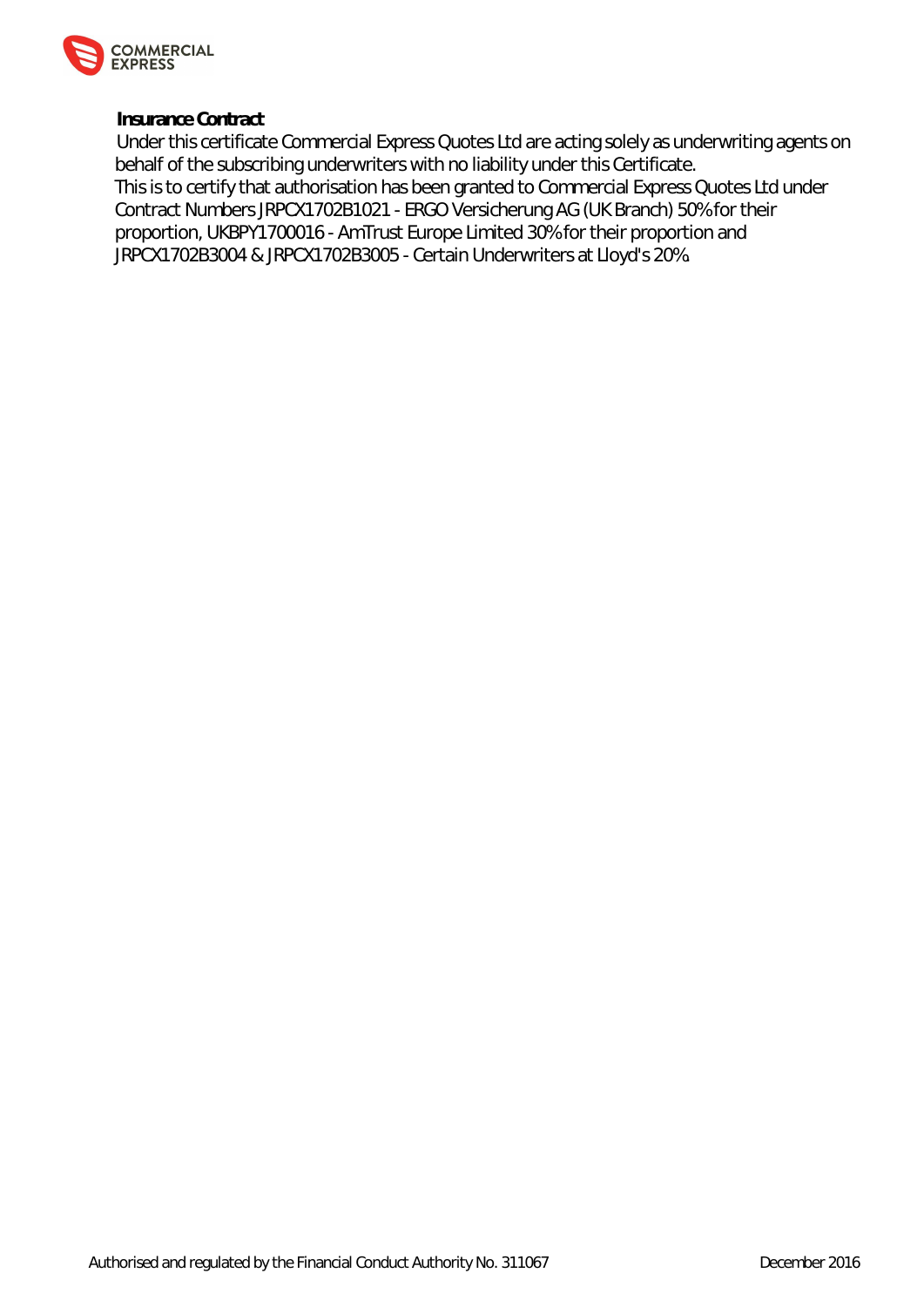

**Insurance Contract**

Under this certificate Commercial Express Quotes Ltd are acting solely as underwriting agents on behalf of the subscribing underwriters with no liability under this Certificate. This is to certify that authorisation has been granted to Commercial Express Quotes Ltd under Contract Numbers JRPCX1702B1021 - ERGO Versicherung AG (UK Branch) 50% for their proportion, UKBPY1700016 - AmTrust Europe Limited 30% for their proportion and JRPCX1702B3004 & JRPCX1702B3005 - Certain Underwriters at Lloyd's 20%.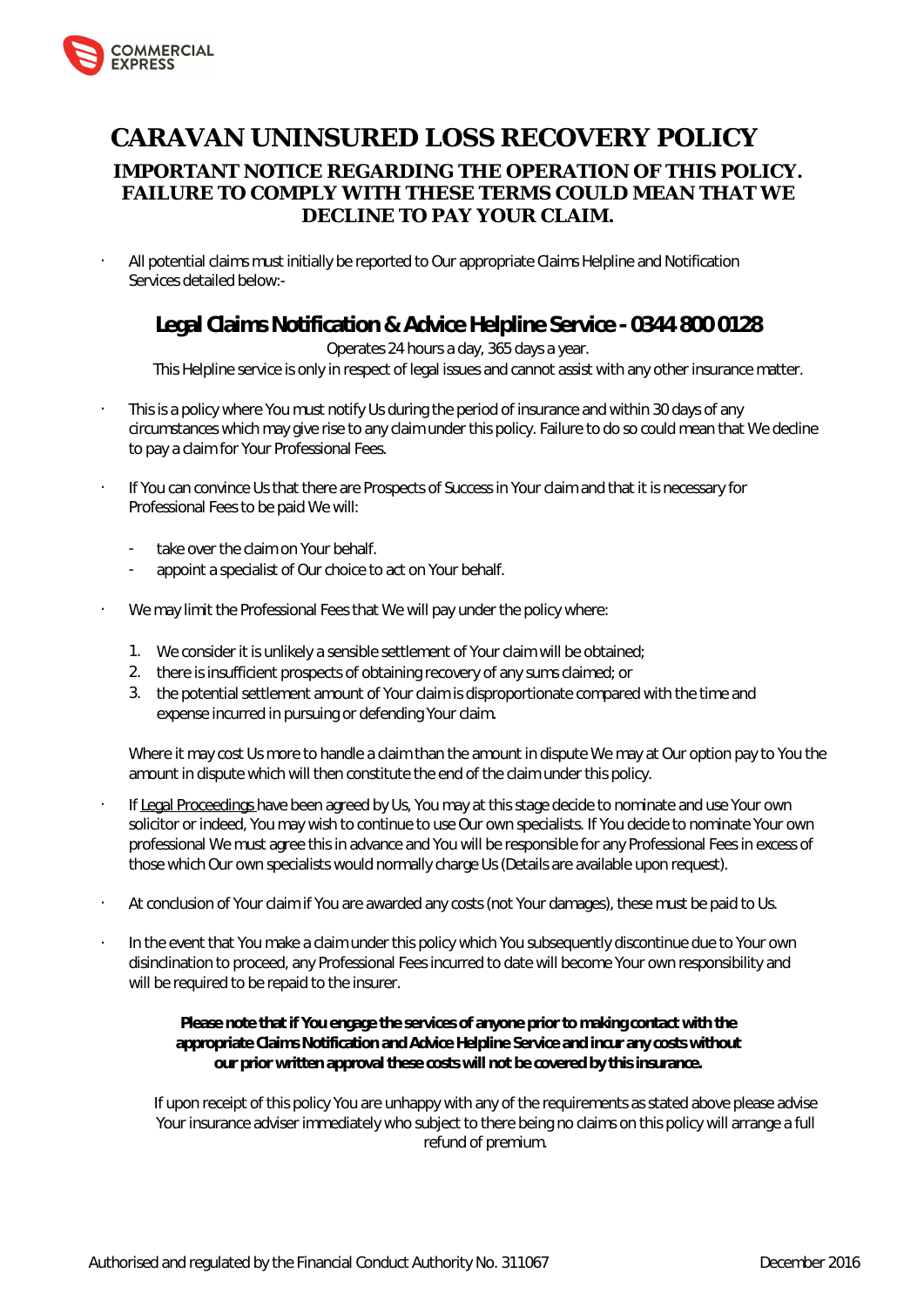

# **CARAVAN UNINSURED LOSS RECOVERY POLICY IMPORTANT NOTICE REGARDING THE OPERATION OF THIS POLICY. FAILURE TO COMPLY WITH THESE TERMS COULD MEAN THAT WE DECLINE TO PAY YOUR CLAIM.**

• All potential claims must initially be reported to Our appropriate Claims Helpline and Notification Services detailed below:-

# **Legal Claims Notification & Advice Helpline Service - 0344 800 0128**

# Operates 24 hours a day, 365 days a year.

This Helpline service is only in respect of legal issues and cannot assist with any other insurance matter.

- This is a policy where You must notify Us during the period of insurance and within 30 days of any circumstances which may give rise to any claim under this policy. Failure to do so could mean that We decline to pay a claim for Your Professional Fees.
- If You can convince Us that there are Prospects of Success in Your claim and that it is necessary for Professional Fees to be paid We will:
	- take over the claim on Your behalf.
	- appoint a specialist of Our choice to act on Your behalf.
- We may limit the Professional Fees that We will pay under the policy where:
	- 1. We consider it is unlikely a sensible settlement of Your claim will be obtained;
	- 2. there is insufficient prospects of obtaining recovery of any sums claimed; or
	- 3. the potential settlement amount of Your claim is disproportionate compared with the time and expense incurred in pursuing or defending Your claim.

Where it may cost Us more to handle a claim than the amount in dispute We may at Our option pay to You the amount in dispute which will then constitute the end of the claim under this policy.

- If Legal Proceedings have been agreed by Us, You may at this stage decide to nominate and use Your own solicitor or indeed, You may wish to continue to use Our own specialists. If You decide to nominate Your own professional We must agree this in advance and You will be responsible for any Professional Fees in excess of those which Our own specialists would normally charge Us (Details are available upon request).
- At conclusion of Your claim if You are awarded any costs (not Your damages), these must be paid to Us.
- In the event that You make a claim under this policy which You subsequently discontinue due to Your own disinclination to proceed, any Professional Fees incurred to date will become Your own responsibility and will be required to be repaid to the insurer.

**Please note that if You engage the services of anyone prior to making contact with the appropriate Claims Notification and Advice Helpline Service and incur any costs without our prior written approval these costs will not be covered by this insurance.**

If upon receipt of this policy You are unhappy with any of the requirements as stated above please advise Your insurance adviser immediately who subject to there being no claims on this policy will arrange a full refund of premium.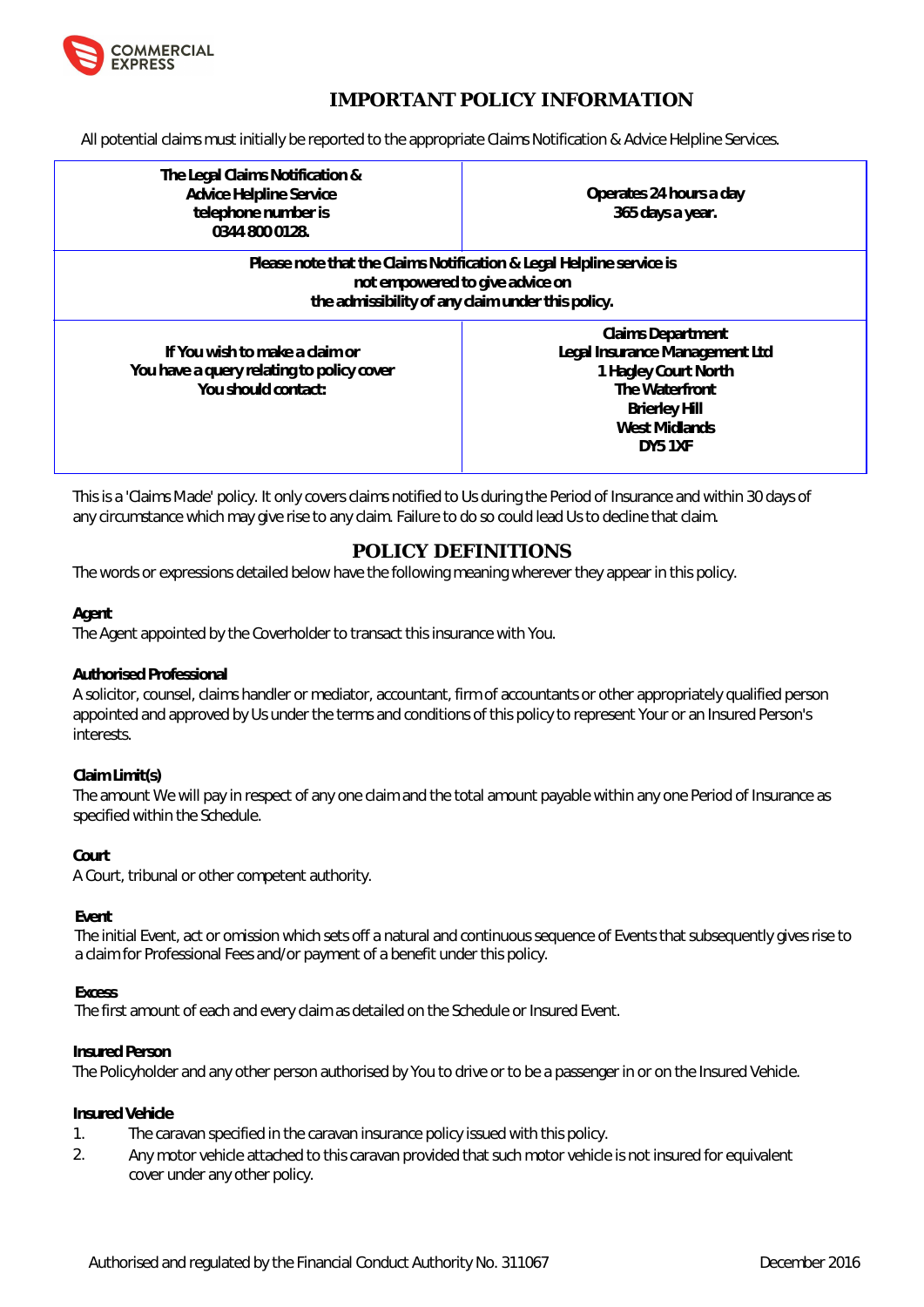

# **IMPORTANT POLICY INFORMATION**

All potential claims must initially be reported to the appropriate Claims Notification & Advice Helpline Services.

| The Legal Claims Notification &<br>Advice Helpline Service<br>telephone number is<br>0344 800 0128.                                                          | Operates 24 hours a day<br>365 days a year.                                                                                                              |  |
|--------------------------------------------------------------------------------------------------------------------------------------------------------------|----------------------------------------------------------------------------------------------------------------------------------------------------------|--|
| Please note that the Claims Notification & Legal Helpline service is<br>not empowered to give advice on<br>the admissibility of any claim under this policy. |                                                                                                                                                          |  |
| If You wish to make a claim or<br>You have a query relating to policy cover<br>You should contact:                                                           | <b>Claims Department</b><br>Legal Insurance Management Ltd<br>1 Hagley Court North<br>The Waterfront<br><b>Brierley Hill</b><br>West Midlands<br>DY5 1XF |  |

This is a 'Claims Made' policy. It only covers claims notified to Us during the Period of Insurance and within 30 days of any circumstance which may give rise to any claim. Failure to do so could lead Us to decline that claim.

# **POLICY DEFINITIONS**

The words or expressions detailed below have the following meaning wherever they appear in this policy.

#### **Agent**

The Agent appointed by the Coverholder to transact this insurance with You.

#### **Authorised Professional**

A solicitor, counsel, claims handler or mediator, accountant, firm of accountants or other appropriately qualified person appointed and approved by Us under the terms and conditions of this policy to represent Your or an Insured Person's interests.

#### **Claim Limit(s)**

The amount We will pay in respect of any one claim and the total amount payable within any one Period of Insurance as specified within the Schedule.

#### **Court**

A Court, tribunal or other competent authority.

# **Event**

The initial Event, act or omission which sets off a natural and continuous sequence of Events that subsequently gives rise to a claim for Professional Fees and/or payment of a benefit under this policy.

#### **Excess**

The first amount of each and every claim as detailed on the Schedule or Insured Event.

#### **Insured Person**

The Policyholder and any other person authorised by You to drive or to be a passenger in or on the Insured Vehicle.

#### **Insured Vehicle**

- 1. The caravan specified in the caravan insurance policy issued with this policy.
- 2. Any motor vehicle attached to this caravan provided that such motor vehicle is not insured for equivalent cover under any other policy.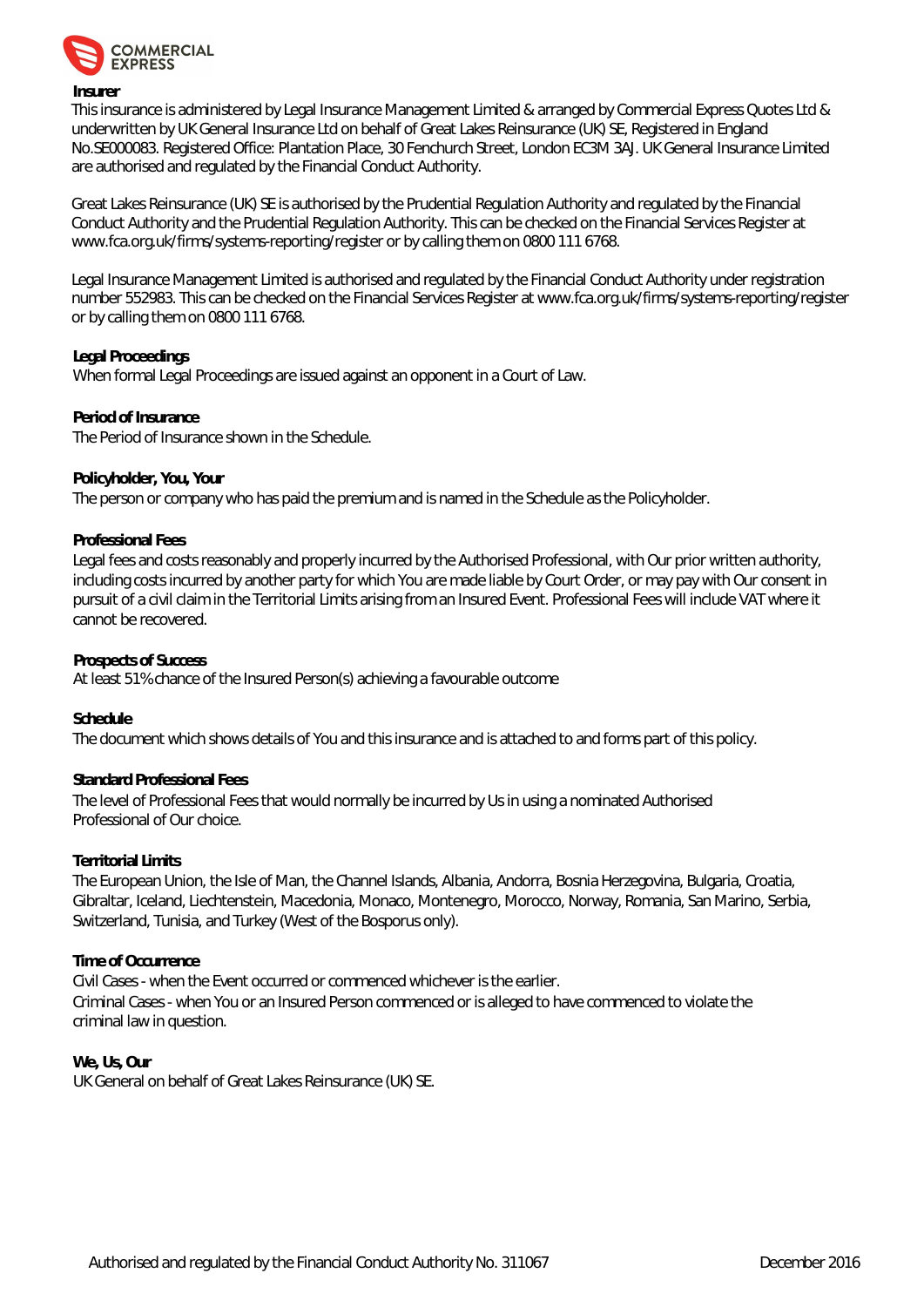

#### **Insurer**

This insurance is administered by Legal Insurance Management Limited & arranged by Commercial Express Quotes Ltd & underwritten by UK General Insurance Ltd on behalf of Great Lakes Reinsurance (UK) SE, Registered in England No.SE000083. Registered Office: Plantation Place, 30 Fenchurch Street, London EC3M 3AJ. UK General Insurance Limited are authorised and regulated by the Financial Conduct Authority.

Great Lakes Reinsurance (UK) SE is authorised by the Prudential Regulation Authority and regulated by the Financial Conduct Authority and the Prudential Regulation Authority. This can be checked on the Financial Services Register at [www.fca.org.uk/firms/systems-reporting/register o](www.fca.org.uk/firms/systems-reporting/register)r by calling them on 0800 111 6768.

Legal Insurance Management Limited is authorised and regulated by the Financial Conduct Authority under registration number 552983. This can be checked on the Financial Services Register at <www.fca.org.uk/firms/systems-reporting/register> or by calling them on 0800 111 6768.

#### **Legal Proceedings**

When formal Legal Proceedings are issued against an opponent in a Court of Law.

**Period of Insurance** The Period of Insurance shown in the Schedule.

**Policyholder, You, Your**

The person or company who has paid the premium and is named in the Schedule as the Policyholder.

#### **Professional Fees**

Legal fees and costs reasonably and properly incurred by the Authorised Professional, with Our prior written authority, including costs incurred by another party for which You are made liable by Court Order, or may pay with Our consent in pursuit of a civil claim in the Territorial Limits arising from an Insured Event. Professional Fees will include VAT where it cannot be recovered.

**Prospects of Success**

At least 51% chance of the Insured Person(s) achieving a favourable outcome

**Schedule**

The document which shows details of You and this insurance and is attached to and forms part of this policy.

#### **Standard Professional Fees**

The level of Professional Fees that would normally be incurred by Us in using a nominated Authorised Professional of Our choice.

#### **Territorial Limits**

The European Union, the Isle of Man, the Channel Islands, Albania, Andorra, Bosnia Herzegovina, Bulgaria, Croatia, Gibraltar, Iceland, Liechtenstein, Macedonia, Monaco, Montenegro, Morocco, Norway, Romania, San Marino, Serbia, Switzerland, Tunisia, and Turkey (West of the Bosporus only).

#### **Time of Occurrence**

Civil Cases - when the Event occurred or commenced whichever is the earlier. Criminal Cases - when You or an Insured Person commenced or is alleged to have commenced to violate the criminal law in question.

**We, Us, Our** UK General on behalf of Great Lakes Reinsurance (UK) SE.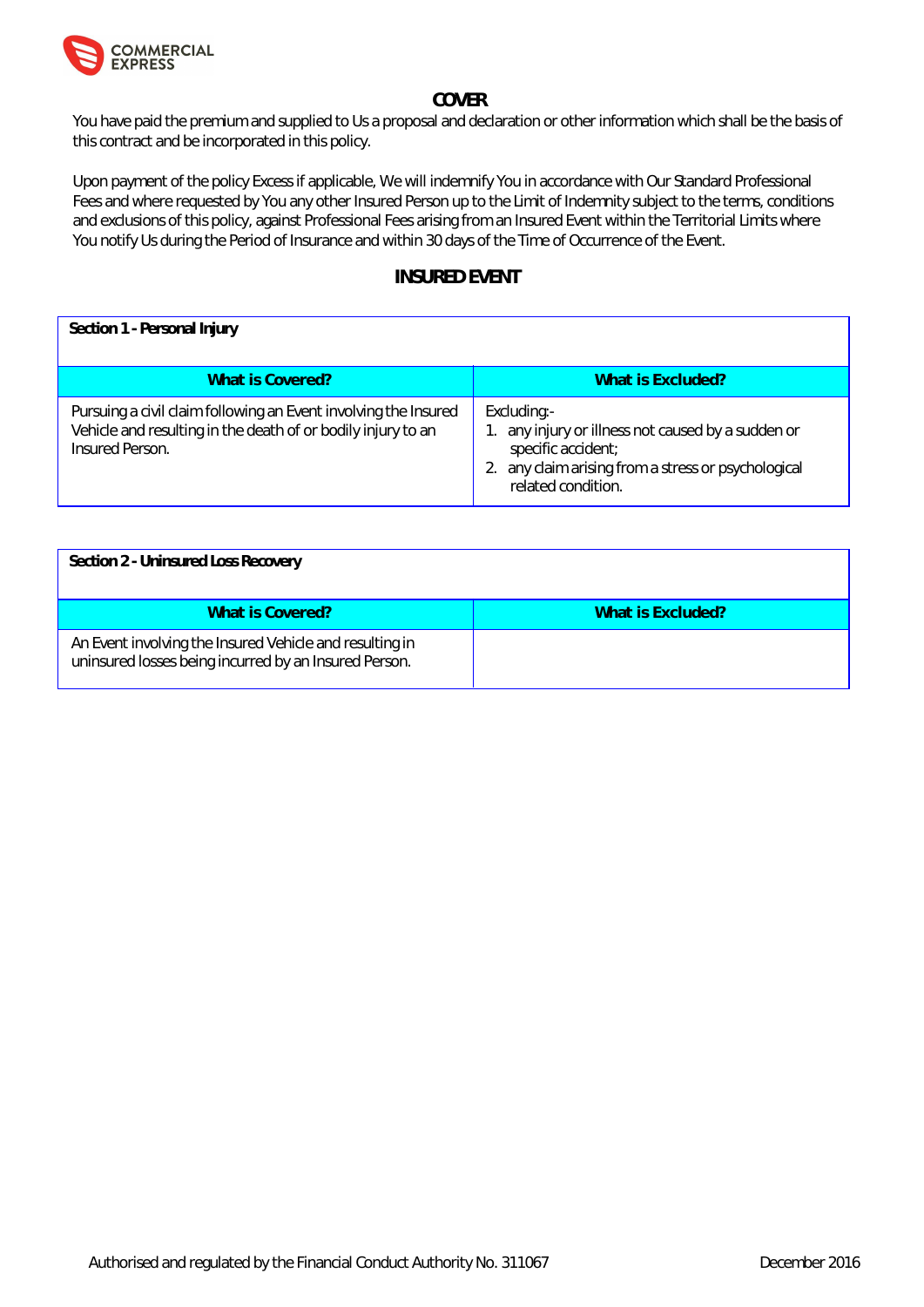

# **COVER**

You have paid the premium and supplied to Us a proposal and declaration or other information which shall be the basis of this contract and be incorporated in this policy.

Upon payment of the policy Excess if applicable, We will indemnify You in accordance with Our Standard Professional Fees and where requested by You any other Insured Person up to the Limit of Indemnity subject to the terms, conditions and exclusions of this policy, against Professional Fees arising from an Insured Event within the Territorial Limits where You notify Us during the Period of Insurance and within 30 days of the Time of Occurrence of the Event.

# **INSURED EVENT**

| Section 1 - Personal Injury                                                                                                                        |                                                                                                                                                                      |
|----------------------------------------------------------------------------------------------------------------------------------------------------|----------------------------------------------------------------------------------------------------------------------------------------------------------------------|
| What is Covered?                                                                                                                                   | What is Excluded?                                                                                                                                                    |
| Pursuing a civil claim following an Event involving the Insured<br>Vehicle and resulting in the death of or bodily injury to an<br>Insured Person. | Excluding:-<br>1. any injury or illness not caused by a sudden or<br>specific accident;<br>2. any claim arising from a stress or psychological<br>related condition. |

| Section 2 - Uninsured Loss Recovery                                                                              |                   |
|------------------------------------------------------------------------------------------------------------------|-------------------|
| What is Covered?                                                                                                 | What is Excluded? |
| An Event involving the Insured Vehicle and resulting in<br>uninsured losses being incurred by an Insured Person. |                   |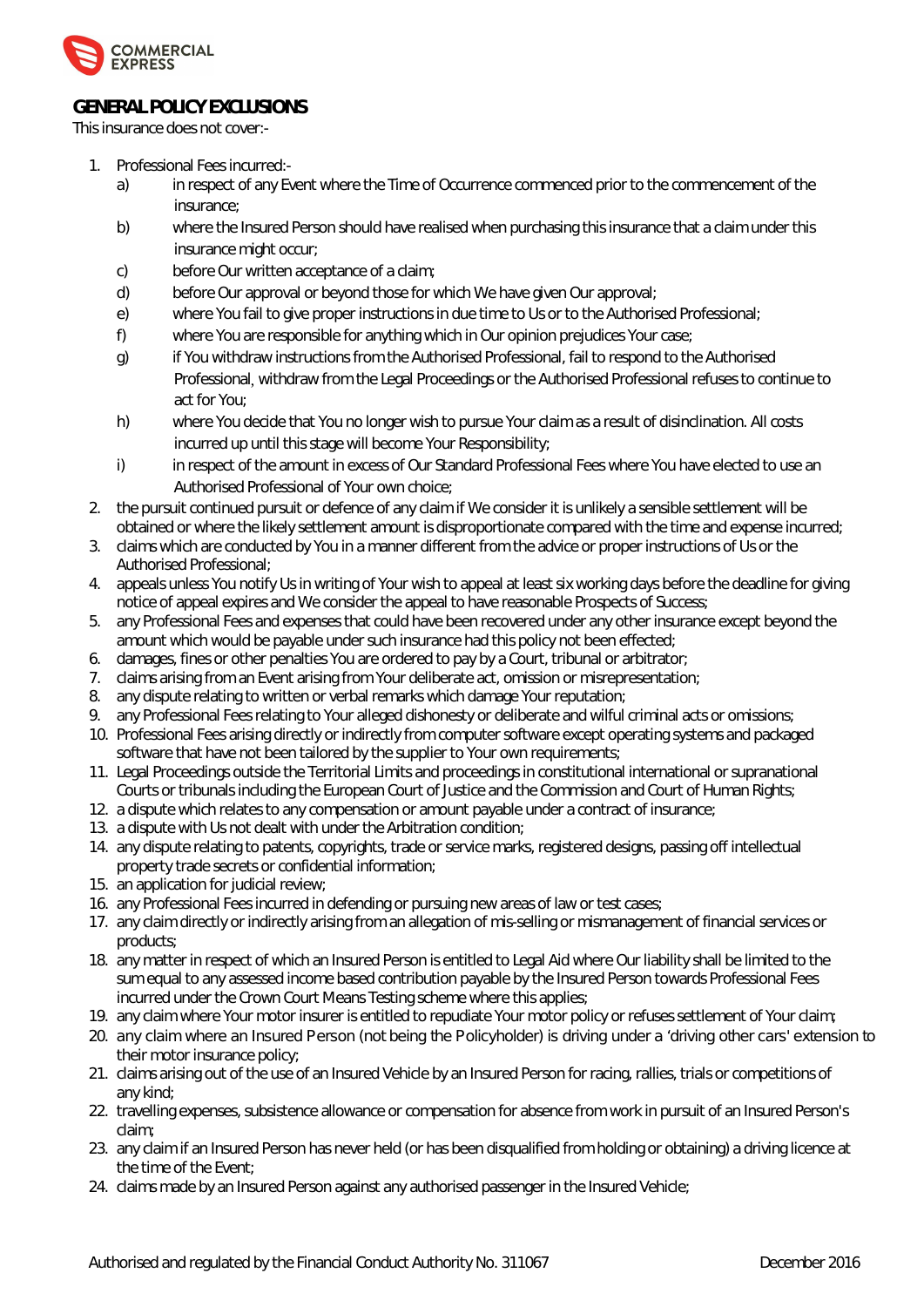

# **GENERAL POLICY EXCLUSIONS**

This insurance does not cover:-

- 1. Professional Fees incurred:
	- a) in respect of any Event where the Time of Occurrence commenced prior to the commencement of the insurance;
	- b) where the Insured Person should have realised when purchasing this insurance that a claim under this insurance might occur;
	- c) before Our written acceptance of a claim;
	- d) before Our approval or beyond those for which We have given Our approval;
	- e) where You fail to give proper instructions in due time to Us or to the Authorised Professional;
	- f) where You are responsible for anything which in Our opinion prejudices Your case;
	- g) if You withdraw instructions from the Authorised Professional, fail to respond to the Authorised Professional, withdraw from the Legal Proceedings or the Authorised Professional refuses to continue to act for You;
	- h) where You decide that You no longer wish to pursue Your claim as a result of disinclination. All costs incurred up until this stage will become Your Responsibility;
	- i) in respect of the amount in excess of Our Standard Professional Fees where You have elected to use an Authorised Professional of Your own choice;
- 2. the pursuit continued pursuit or defence of any claim if We consider it is unlikely a sensible settlement will be obtained or where the likely settlement amount is disproportionate compared with the time and expense incurred;
- 3. claims which are conducted by You in a manner different from the advice or proper instructions of Us or the Authorised Professional;
- 4. appeals unless You notify Us in writing of Your wish to appeal at least six working days before the deadline for giving notice of appeal expires and We consider the appeal to have reasonable Prospects of Success;
- 5. any Professional Fees and expenses that could have been recovered under any other insurance except beyond the amount which would be payable under such insurance had this policy not been effected;
- 6. damages, fines or other penalties You are ordered to pay by a Court, tribunal or arbitrator;
- 7. claims arising from an Event arising from Your deliberate act, omission or misrepresentation;
- 8. any dispute relating to written or verbal remarks which damage Your reputation;
- 9. any Professional Fees relating to Your alleged dishonesty or deliberate and wilful criminal acts or omissions;
- 10. Professional Fees arising directly or indirectly from computer software except operating systems and packaged software that have not been tailored by the supplier to Your own requirements;
- 11. Legal Proceedings outside the Territorial Limits and proceedings in constitutional international or supranational Courts or tribunals including the European Court of Justice and the Commission and Court of Human Rights;
- 12. a dispute which relates to any compensation or amount payable under a contract of insurance;
- 13. a dispute with Us not dealt with under the Arbitration condition;
- 14. any dispute relating to patents, copyrights, trade or service marks, registered designs, passing off intellectual property trade secrets or confidential information;
- 15. an application for judicial review;
- 16. any Professional Fees incurred in defending or pursuing new areas of law or test cases;
- 17. any claim directly or indirectly arising from an allegation of mis-selling or mismanagement of financial services or products;
- 18. any matter in respect of which an Insured Person is entitled to Legal Aid where Our liability shall be limited to the sum equal to any assessed income based contribution payable by the Insured Person towards Professional Fees incurred under the Crown Court Means Testing scheme where this applies;
- 19. any claim where Your motor insurer is entitled to repudiate Your motor policy or refuses settlement of Your claim;
- 20. UbmWU]a k∖YfYUb ‡ogi fYXDYfgcb fbchVY]b[ h\YDc`]Wh\c`XYfŁ]g`Xf]j ]b[ i bXYf U`Xf]j ]b[ ch\Yf`WlfgfiYl hYbg]cb hc their motor insurance policy;
- 21. claims arising out of the use of an Insured Vehicle by an Insured Person for racing, rallies, trials or competitions of any kind;
- 22. travelling expenses, subsistence allowance or compensation for absence from work in pursuit of an Insured Person's claim;
- 23. any claim if an Insured Person has never held (or has been disqualified from holding or obtaining) a driving licence at the time of the Event;
- 24. claims made by an Insured Person against any authorised passenger in the Insured Vehicle;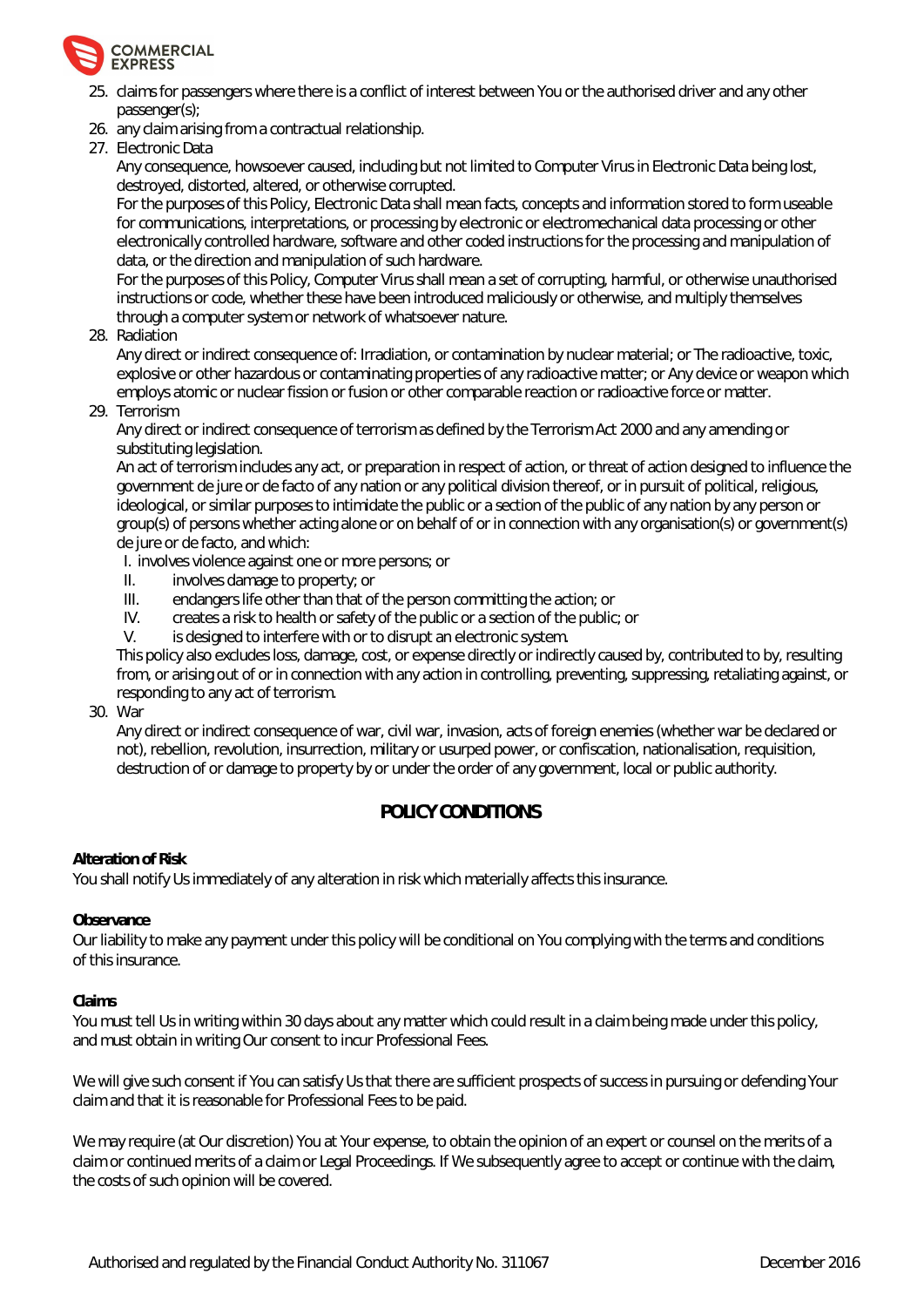

- 25. claims for passengers where there is a conflict of interest between You or the authorised driver and any other passenger(s);
- 26. any claim arising from a contractual relationship.
- 27. Electronic Data

Any consequence, howsoever caused, including but not limited to Computer Virus in Electronic Data being lost, destroyed, distorted, altered, or otherwise corrupted.

For the purposes of this Policy, Electronic Data shall mean facts, concepts and information stored to form useable for communications, interpretations, or processing by electronic or electromechanical data processing or other electronically controlled hardware, software and other coded instructions for the processing and manipulation of data, or the direction and manipulation of such hardware.

For the purposes of this Policy, Computer Virus shall mean a set of corrupting, harmful, or otherwise unauthorised instructions or code, whether these have been introduced maliciously or otherwise, and multiply themselves through a computer system or network of whatsoever nature.

28. Radiation

Any direct or indirect consequence of: Irradiation, or contamination by nuclear material; or The radioactive, toxic, explosive or other hazardous or contaminating properties of any radioactive matter; or Any device or weapon which employs atomic or nuclear fission or fusion or other comparable reaction or radioactive force or matter.

29. Terrorism

Any direct or indirect consequence of terrorism as defined by the Terrorism Act 2000 and any amending or substituting legislation.

An act of terrorism includes any act, or preparation in respect of action, or threat of action designed to influence the government de jure or de facto of any nation or any political division thereof, or in pursuit of political, religious, ideological, or similar purposes to intimidate the public or a section of the public of any nation by any person or group(s) of persons whether acting alone or on behalf of or in connection with any organisation(s) or government(s) de jure or de facto, and which:

I. involves violence against one or more persons; or

- II. involves damage to property; or
- III. endangers life other than that of the person committing the action; or
- IV. creates a risk to health or safety of the public or a section of the public; or V. is designed to interfere with or to disrupt an electronic system.
- is designed to interfere with or to disrupt an electronic system.

This policy also excludes loss, damage, cost, or expense directly or indirectly caused by, contributed to by, resulting from, or arising out of or in connection with any action in controlling, preventing, suppressing, retaliating against, or responding to any act of terrorism.

30. War

Any direct or indirect consequence of war, civil war, invasion, acts of foreign enemies (whether war be declared or not), rebellion, revolution, insurrection, military or usurped power, or confiscation, nationalisation, requisition, destruction of or damage to property by or under the order of any government, local or public authority.

# **POLICY CONDITIONS**

#### **Alteration of Risk**

You shall notify Us immediately of any alteration in risk which materially affects this insurance.

**Observance**

Our liability to make any payment under this policy will be conditional on You complying with the terms and conditions of this insurance.

**Claims**

You must tell Us in writing within 30 days about any matter which could result in a claim being made under this policy, and must obtain in writing Our consent to incur Professional Fees.

We will give such consent if You can satisfy Us that there are sufficient prospects of success in pursuing or defending Your claim and that it is reasonable for Professional Fees to be paid.

We may require (at Our discretion) You at Your expense, to obtain the opinion of an expert or counsel on the merits of a claim or continued merits of a claim or Legal Proceedings. If We subsequently agree to accept or continue with the claim, the costs of such opinion will be covered.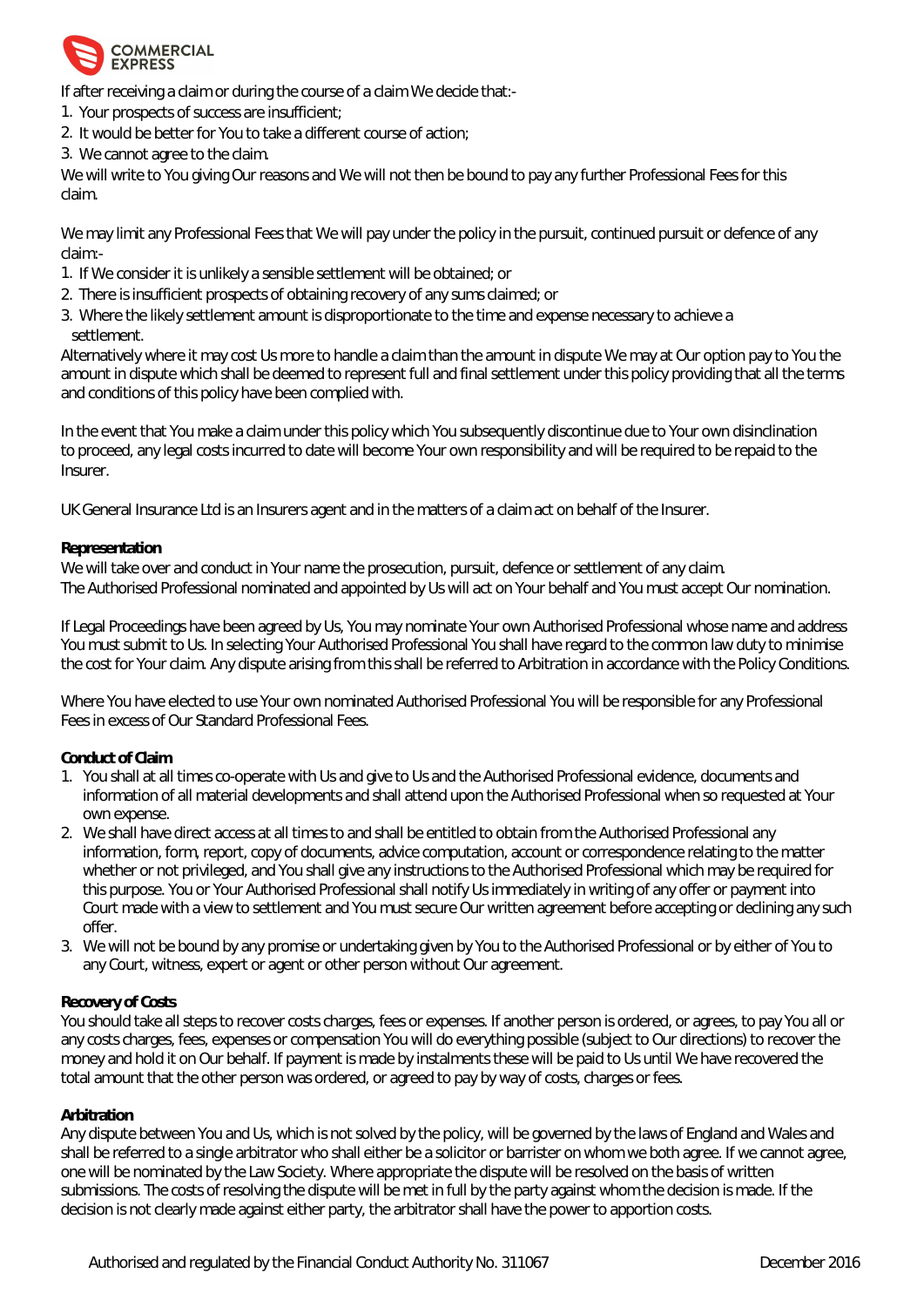

If after receiving a claim or during the course of a claim We decide that:-

- 1. Your prospects of success are insufficient;
- 2. It would be better for You to take a different course of action;
- 3. We cannot agree to the claim.

We will write to You giving Our reasons and We will not then be bound to pay any further Professional Fees for this claim.

We may limit any Professional Fees that We will pay under the policy in the pursuit, continued pursuit or defence of any claim:-

- 1. If We consider it is unlikely a sensible settlement will be obtained; or
- 2. There is insufficient prospects of obtaining recovery of any sums claimed; or
- 3. Where the likely settlement amount is disproportionate to the time and expense necessary to achieve a settlement.

Alternatively where it may cost Us more to handle a claim than the amount in dispute We may at Our option pay to You the amount in dispute which shall be deemed to represent full and final settlement under this policy providing that all the terms and conditions of this policy have been complied with.

In the event that You make a claim under this policy which You subsequently discontinue due to Your own disinclination to proceed, any legal costs incurred to date will become Your own responsibility and will be required to be repaid to the Insurer.

UK General Insurance Ltd is an Insurers agent and in the matters of a claim act on behalf of the Insurer.

#### **Representation**

We will take over and conduct in Your name the prosecution, pursuit, defence or settlement of any claim. The Authorised Professional nominated and appointed by Us will act on Your behalf and You must accept Our nomination.

If Legal Proceedings have been agreed by Us, You may nominate Your own Authorised Professional whose name and address You must submit to Us. In selecting Your Authorised Professional You shall have regard to the common law duty to minimise the cost for Your claim. Any dispute arising from this shall be referred to Arbitration in accordance with the Policy Conditions.

Where You have elected to use Your own nominated Authorised Professional You will be responsible for any Professional Fees in excess of Our Standard Professional Fees.

#### **Conduct of Claim**

- 1. You shall at all times co-operate with Us and give to Us and the Authorised Professional evidence, documents and information of all material developments and shall attend upon the Authorised Professional when so requested at Your own expense.
- 2. We shall have direct access at all times to and shall be entitled to obtain from the Authorised Professional any information, form, report, copy of documents, advice computation, account or correspondence relating to the matter whether or not privileged, and You shall give any instructions to the Authorised Professional which may be required for this purpose. You or Your Authorised Professional shall notify Us immediately in writing of any offer or payment into Court made with a view to settlement and You must secure Our written agreement before accepting or declining any such offer.
- 3. We will not be bound by any promise or undertaking given by You to the Authorised Professional or by either of You to any Court, witness, expert or agent or other person without Our agreement.

#### **Recovery of Costs**

You should take all steps to recover costs charges, fees or expenses. If another person is ordered, or agrees, to pay You all or any costs charges, fees, expenses or compensation You will do everything possible (subject to Our directions) to recover the money and hold it on Our behalf. If payment is made by instalments these will be paid to Us until We have recovered the total amount that the other person was ordered, or agreed to pay by way of costs, charges or fees.

#### **Arbitration**

Any dispute between You and Us, which is not solved by the policy, will be governed by the laws of England and Wales and shall be referred to a single arbitrator who shall either be a solicitor or barrister on whom we both agree. If we cannot agree, one will be nominated by the Law Society. Where appropriate the dispute will be resolved on the basis of written submissions. The costs of resolving the dispute will be met in full by the party against whom the decision is made. If the decision is not clearly made against either party, the arbitrator shall have the power to apportion costs.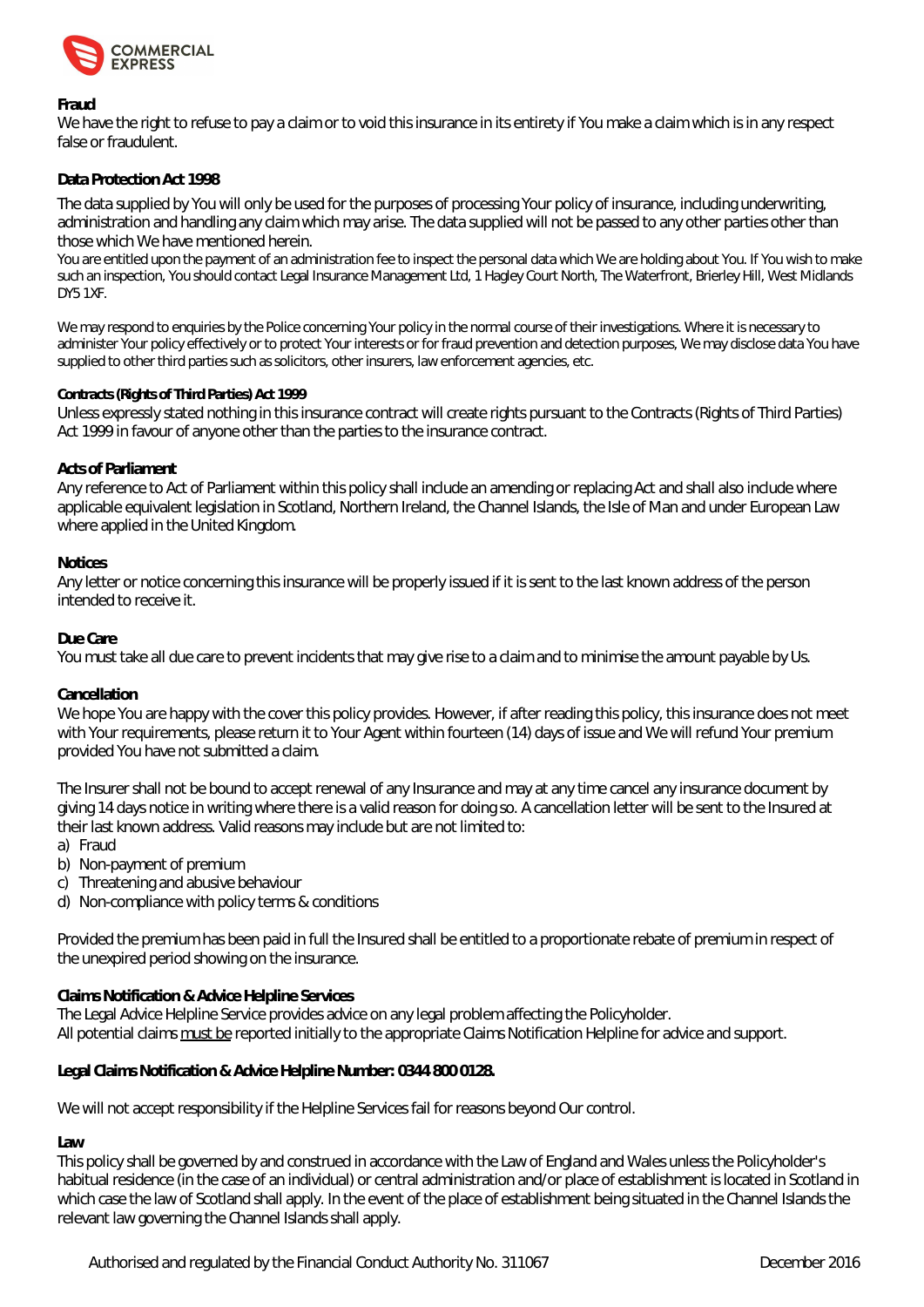

#### **Fraud**

We have the right to refuse to pay a claim or to void this insurance in its entirety if You make a claim which is in any respect false or fraudulent.

#### **Data Protection Act 1998**

The data supplied by You will only be used for the purposes of processing Your policy of insurance, including underwriting, administration and handling any claim which may arise. The data supplied will not be passed to any other parties other than those which We have mentioned herein.

You are entitled upon the payment of an administration fee to inspect the personal data which We are holding about You. If You wish to make such an inspection, You should contact Legal Insurance Management Ltd, 1 Hagley Court North, The Waterfront, Brierley Hill, West Midlands DY5 1XF.

We may respond to enquiries by the Police concerning Your policy in the normal course of their investigations. Where it is necessary to administer Your policy effectively or to protect Your interests or for fraud prevention and detection purposes, We may disclose data You have supplied to other third parties such as solicitors, other insurers, law enforcement agencies, etc.

#### **Contracts (Rights of Third Parties) Act 1999**

Unless expressly stated nothing in this insurance contract will create rights pursuant to the Contracts (Rights of Third Parties) Act 1999 in favour of anyone other than the parties to the insurance contract.

#### **Acts of Parliament**

Any reference to Act of Parliament within this policy shall include an amending or replacing Act and shall also include where applicable equivalent legislation in Scotland, Northern Ireland, the Channel Islands, the Isle of Man and under European Law where applied in the United Kingdom.

#### **Notices**

Any letter or notice concerning this insurance will be properly issued if it is sent to the last known address of the person intended to receive it.

#### **Due Care**

You must take all due care to prevent incidents that may give rise to a claim and to minimise the amount payable by Us.

#### **Cancellation**

We hope You are happy with the cover this policy provides. However, if after reading this policy, this insurance does not meet with Your requirements, please return it to Your Agent within fourteen (14) days of issue and We will refund Your premium provided You have not submitted a claim.

The Insurer shall not be bound to accept renewal of any Insurance and may at any time cancel any insurance document by giving 14 days notice in writing where there is a valid reason for doing so. A cancellation letter will be sent to the Insured at their last known address. Valid reasons may include but are not limited to:

- a) Fraud
- b) Non-payment of premium
- c) Threatening and abusive behaviour
- d) Non-compliance with policy terms & conditions

Provided the premium has been paid in full the Insured shall be entitled to a proportionate rebate of premium in respect of the unexpired period showing on the insurance.

#### **Claims Notification & Advice Helpline Services**

The Legal Advice Helpline Service provides advice on any legal problem affecting the Policyholder. All potential claims must be reported initially to the appropriate Claims Notification Helpline for advice and support.

**Legal Claims Notification & Advice Helpline Number: 0344 800 0128.** 

We will not accept responsibility if the Helpline Services fail for reasons beyond Our control.

# **Law**

This policy shall be governed by and construed in accordance with the Law of England and Wales unless the Policyholder's habitual residence (in the case of an individual) or central administration and/or place of establishment is located in Scotland in which case the law of Scotland shall apply. In the event of the place of establishment being situated in the Channel Islands the relevant law governing the Channel Islands shall apply.